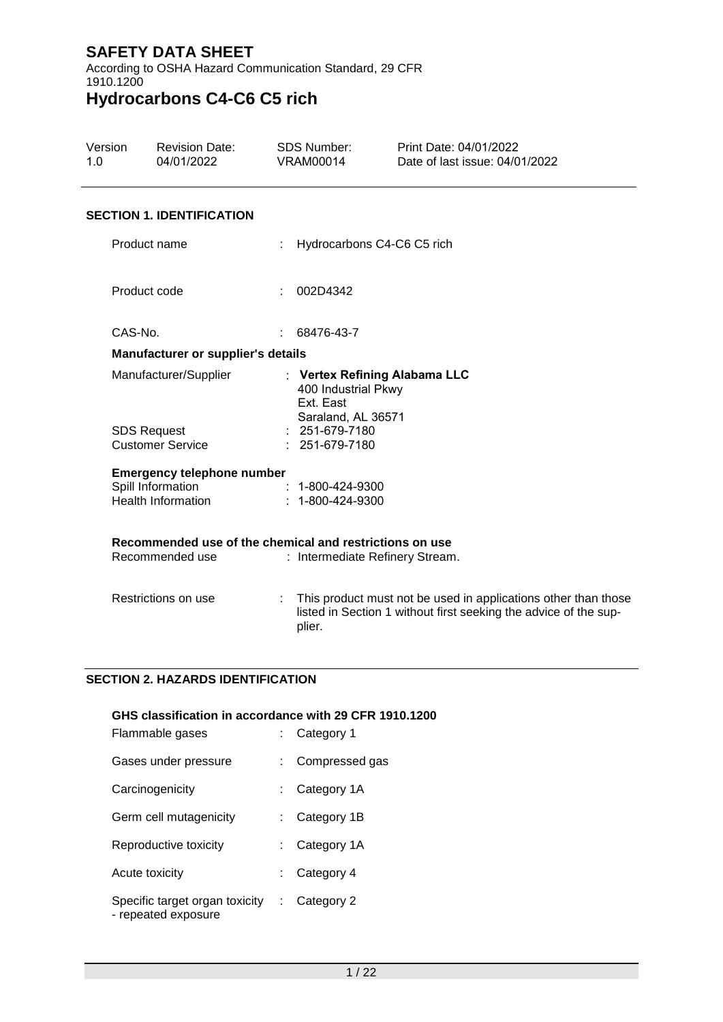According to OSHA Hazard Communication Standard, 29 CFR 1910.1200

# **Hydrocarbons C4-C6 C5 rich**

| Version<br>1.0 | <b>Revision Date:</b><br>04/01/2022                                                                  |               | <b>SDS Number:</b><br><b>VRAM00014</b>                                                         | Print Date: 04/01/2022<br>Date of last issue: 04/01/2022                                                                           |  |  |  |
|----------------|------------------------------------------------------------------------------------------------------|---------------|------------------------------------------------------------------------------------------------|------------------------------------------------------------------------------------------------------------------------------------|--|--|--|
|                | <b>SECTION 1. IDENTIFICATION</b>                                                                     |               |                                                                                                |                                                                                                                                    |  |  |  |
|                | Product name                                                                                         |               |                                                                                                | : Hydrocarbons C4-C6 C5 rich                                                                                                       |  |  |  |
|                | Product code                                                                                         |               | : 002D4342                                                                                     |                                                                                                                                    |  |  |  |
|                | CAS-No.                                                                                              | $\mathcal{L}$ | 68476-43-7                                                                                     |                                                                                                                                    |  |  |  |
|                | Manufacturer or supplier's details                                                                   |               |                                                                                                |                                                                                                                                    |  |  |  |
|                | Manufacturer/Supplier<br><b>SDS Request</b><br><b>Customer Service</b>                               |               | 400 Industrial Pkwy<br>Ext. East<br>Saraland, AL 36571<br>$: 251-679-7180$<br>$: 251-679-7180$ | : Vertex Refining Alabama LLC                                                                                                      |  |  |  |
|                | <b>Emergency telephone number</b><br>Spill Information : 1-800-424-9300<br><b>Health Information</b> |               | $: 1 - 800 - 424 - 9300$                                                                       |                                                                                                                                    |  |  |  |
|                | Recommended use of the chemical and restrictions on use<br>Recommended use                           |               |                                                                                                | : Intermediate Refinery Stream.                                                                                                    |  |  |  |
|                | Restrictions on use                                                                                  |               | plier.                                                                                         | This product must not be used in applications other than those<br>listed in Section 1 without first seeking the advice of the sup- |  |  |  |

#### **SECTION 2. HAZARDS IDENTIFICATION**

| GHS classification in accordance with 29 CFR 1910.1200<br>Flammable gases | Category 1              |
|---------------------------------------------------------------------------|-------------------------|
| Gases under pressure                                                      | : Compressed gas        |
| Carcinogenicity                                                           | Category 1A             |
| Germ cell mutagenicity                                                    | Category 1B             |
| Reproductive toxicity                                                     | : Category $1A$         |
| Acute toxicity                                                            | Category 4              |
| Specific target organ toxicity<br>- repeated exposure                     | $\therefore$ Category 2 |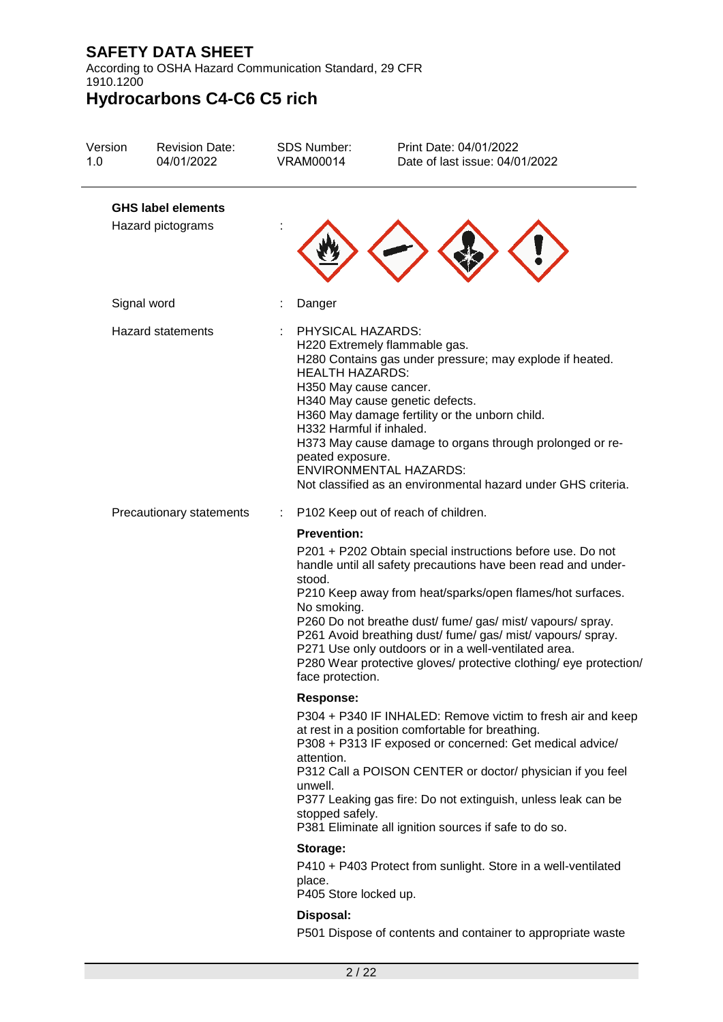According to OSHA Hazard Communication Standard, 29 CFR 1910.1200

# **Hydrocarbons C4-C6 C5 rich**

| Version<br>1.0                                 | <b>Revision Date:</b><br>04/01/2022 | <b>SDS Number:</b><br><b>VRAM00014</b>                                                                                | Print Date: 04/01/2022<br>Date of last issue: 04/01/2022                                                                                                                                                                                                                                                                                                                                                                                           |
|------------------------------------------------|-------------------------------------|-----------------------------------------------------------------------------------------------------------------------|----------------------------------------------------------------------------------------------------------------------------------------------------------------------------------------------------------------------------------------------------------------------------------------------------------------------------------------------------------------------------------------------------------------------------------------------------|
| <b>GHS label elements</b><br>Hazard pictograms |                                     |                                                                                                                       |                                                                                                                                                                                                                                                                                                                                                                                                                                                    |
|                                                | Signal word                         | Danger                                                                                                                |                                                                                                                                                                                                                                                                                                                                                                                                                                                    |
|                                                | <b>Hazard statements</b>            | PHYSICAL HAZARDS:<br><b>HEALTH HAZARDS:</b><br>H350 May cause cancer.<br>H332 Harmful if inhaled.<br>peated exposure. | H220 Extremely flammable gas.<br>H280 Contains gas under pressure; may explode if heated.<br>H340 May cause genetic defects.<br>H360 May damage fertility or the unborn child.<br>H373 May cause damage to organs through prolonged or re-<br><b>ENVIRONMENTAL HAZARDS:</b><br>Not classified as an environmental hazard under GHS criteria.                                                                                                       |
|                                                | Precautionary statements            |                                                                                                                       | P102 Keep out of reach of children.                                                                                                                                                                                                                                                                                                                                                                                                                |
|                                                |                                     | <b>Prevention:</b><br>stood.<br>No smoking.<br>face protection.                                                       | P201 + P202 Obtain special instructions before use. Do not<br>handle until all safety precautions have been read and under-<br>P210 Keep away from heat/sparks/open flames/hot surfaces.<br>P260 Do not breathe dust/ fume/ gas/ mist/ vapours/ spray.<br>P261 Avoid breathing dust/ fume/ gas/ mist/ vapours/ spray.<br>P271 Use only outdoors or in a well-ventilated area.<br>P280 Wear protective gloves/ protective clothing/ eye protection/ |
|                                                |                                     | Response:<br>attention.<br>unwell.<br>stopped safely.                                                                 | P304 + P340 IF INHALED: Remove victim to fresh air and keep<br>at rest in a position comfortable for breathing.<br>P308 + P313 IF exposed or concerned: Get medical advice/<br>P312 Call a POISON CENTER or doctor/ physician if you feel<br>P377 Leaking gas fire: Do not extinguish, unless leak can be<br>P381 Eliminate all ignition sources if safe to do so.                                                                                 |
|                                                |                                     | Storage:<br>place.<br>P405 Store locked up.                                                                           | P410 + P403 Protect from sunlight. Store in a well-ventilated                                                                                                                                                                                                                                                                                                                                                                                      |
|                                                |                                     | Disposal:                                                                                                             |                                                                                                                                                                                                                                                                                                                                                                                                                                                    |
|                                                |                                     |                                                                                                                       | P501 Dispose of contents and container to appropriate waste                                                                                                                                                                                                                                                                                                                                                                                        |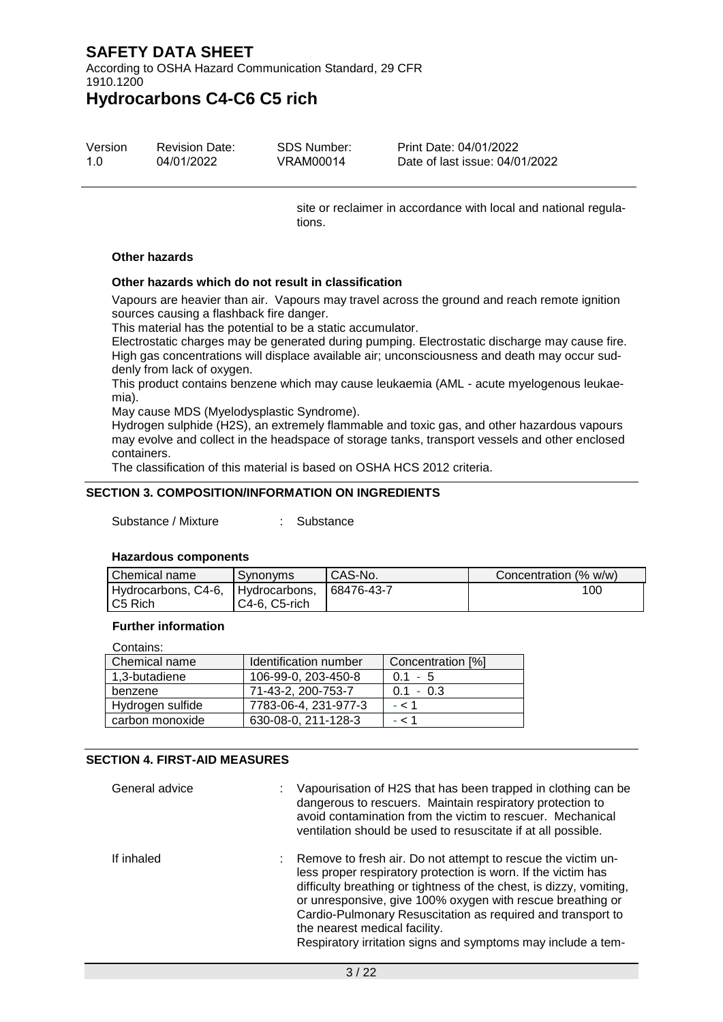According to OSHA Hazard Communication Standard, 29 CFR 1910.1200

### **Hydrocarbons C4-C6 C5 rich**

| Version | <b>Revision Date:</b> | SDS Number: | Print Date: 04/01/2022         |
|---------|-----------------------|-------------|--------------------------------|
| 1.O     | 04/01/2022            | VRAM00014   | Date of last issue: 04/01/2022 |

site or reclaimer in accordance with local and national regulations.

#### **Other hazards**

#### **Other hazards which do not result in classification**

Vapours are heavier than air. Vapours may travel across the ground and reach remote ignition sources causing a flashback fire danger.

This material has the potential to be a static accumulator.

Electrostatic charges may be generated during pumping. Electrostatic discharge may cause fire. High gas concentrations will displace available air; unconsciousness and death may occur suddenly from lack of oxygen.

This product contains benzene which may cause leukaemia (AML - acute myelogenous leukaemia).

May cause MDS (Myelodysplastic Syndrome).

Hydrogen sulphide (H2S), an extremely flammable and toxic gas, and other hazardous vapours may evolve and collect in the headspace of storage tanks, transport vessels and other enclosed containers.

The classification of this material is based on OSHA HCS 2012 criteria.

#### **SECTION 3. COMPOSITION/INFORMATION ON INGREDIENTS**

Substance / Mixture : Substance

#### **Hazardous components**

| Chemical name                     | <b>Synonyms</b> | I CAS-No.   | Concentration (% w/w) |
|-----------------------------------|-----------------|-------------|-----------------------|
| Hydrocarbons, C4-6, Hydrocarbons, |                 | Ⅰ68476-43-7 | 100                   |
| IC5 Rich                          | IC4-6. C5-rich  |             |                       |

#### **Further information**

Contains: Chemical name | Identification number | Concentration [%] 1,3-butadiene | 106-99-0, 203-450-8 | 0.1 - 5 benzene 71-43-2, 200-753-7 0.1 - 0.3 Hydrogen sulfide  $|7783-06-4, 231-977-3$   $| - 164$ carbon monoxide  $\begin{array}{|c|c|c|c|c|c|c|c|c|} \hline \text{630-08-0, 211-128-3} & -< 1 \hline \end{array}$ 

#### **SECTION 4. FIRST-AID MEASURES**

| General advice | Vapourisation of H2S that has been trapped in clothing can be<br>dangerous to rescuers. Maintain respiratory protection to<br>avoid contamination from the victim to rescuer. Mechanical<br>ventilation should be used to resuscitate if at all possible.                                                                                                                                                                            |
|----------------|--------------------------------------------------------------------------------------------------------------------------------------------------------------------------------------------------------------------------------------------------------------------------------------------------------------------------------------------------------------------------------------------------------------------------------------|
| If inhaled     | : Remove to fresh air. Do not attempt to rescue the victim un-<br>less proper respiratory protection is worn. If the victim has<br>difficulty breathing or tightness of the chest, is dizzy, vomiting,<br>or unresponsive, give 100% oxygen with rescue breathing or<br>Cardio-Pulmonary Resuscitation as required and transport to<br>the nearest medical facility.<br>Respiratory irritation signs and symptoms may include a tem- |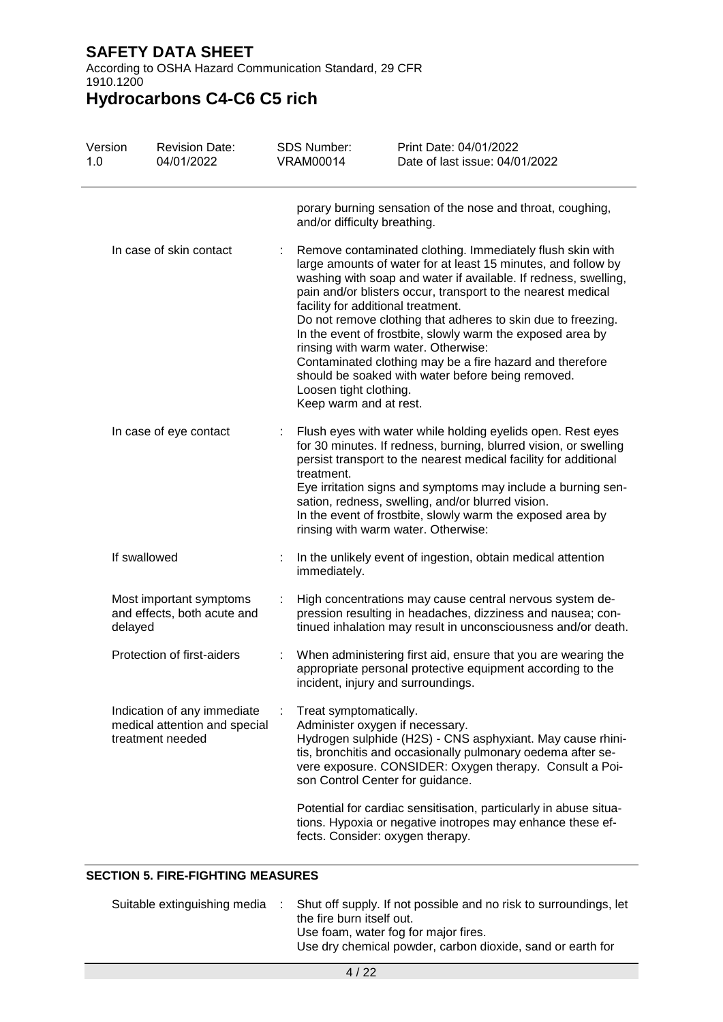According to OSHA Hazard Communication Standard, 29 CFR 1910.1200

## **Hydrocarbons C4-C6 C5 rich**

| Version<br>1.0 | <b>Revision Date:</b><br>04/01/2022                                              | SDS Number:<br><b>VRAM00014</b>                                                               | Print Date: 04/01/2022<br>Date of last issue: 04/01/2022                                                                                                                                                                                                                                                                                                                                                                                                                                                                                            |
|----------------|----------------------------------------------------------------------------------|-----------------------------------------------------------------------------------------------|-----------------------------------------------------------------------------------------------------------------------------------------------------------------------------------------------------------------------------------------------------------------------------------------------------------------------------------------------------------------------------------------------------------------------------------------------------------------------------------------------------------------------------------------------------|
|                |                                                                                  | and/or difficulty breathing.                                                                  | porary burning sensation of the nose and throat, coughing,                                                                                                                                                                                                                                                                                                                                                                                                                                                                                          |
|                | In case of skin contact                                                          | facility for additional treatment.<br>Loosen tight clothing.<br>Keep warm and at rest.        | Remove contaminated clothing. Immediately flush skin with<br>large amounts of water for at least 15 minutes, and follow by<br>washing with soap and water if available. If redness, swelling,<br>pain and/or blisters occur, transport to the nearest medical<br>Do not remove clothing that adheres to skin due to freezing.<br>In the event of frostbite, slowly warm the exposed area by<br>rinsing with warm water. Otherwise:<br>Contaminated clothing may be a fire hazard and therefore<br>should be soaked with water before being removed. |
|                | In case of eye contact                                                           | treatment.                                                                                    | Flush eyes with water while holding eyelids open. Rest eyes<br>for 30 minutes. If redness, burning, blurred vision, or swelling<br>persist transport to the nearest medical facility for additional<br>Eye irritation signs and symptoms may include a burning sen-<br>sation, redness, swelling, and/or blurred vision.<br>In the event of frostbite, slowly warm the exposed area by<br>rinsing with warm water. Otherwise:                                                                                                                       |
|                | If swallowed                                                                     | immediately.                                                                                  | In the unlikely event of ingestion, obtain medical attention                                                                                                                                                                                                                                                                                                                                                                                                                                                                                        |
|                | Most important symptoms<br>and effects, both acute and<br>delayed                |                                                                                               | High concentrations may cause central nervous system de-<br>pression resulting in headaches, dizziness and nausea; con-<br>tinued inhalation may result in unconsciousness and/or death.                                                                                                                                                                                                                                                                                                                                                            |
|                | Protection of first-aiders                                                       | incident, injury and surroundings.                                                            | When administering first aid, ensure that you are wearing the<br>appropriate personal protective equipment according to the                                                                                                                                                                                                                                                                                                                                                                                                                         |
|                | Indication of any immediate<br>medical attention and special<br>treatment needed | Treat symptomatically.<br>Administer oxygen if necessary.<br>son Control Center for guidance. | Hydrogen sulphide (H2S) - CNS asphyxiant. May cause rhini-<br>tis, bronchitis and occasionally pulmonary oedema after se-<br>vere exposure. CONSIDER: Oxygen therapy. Consult a Poi-                                                                                                                                                                                                                                                                                                                                                                |
|                |                                                                                  | fects. Consider: oxygen therapy.                                                              | Potential for cardiac sensitisation, particularly in abuse situa-<br>tions. Hypoxia or negative inotropes may enhance these ef-                                                                                                                                                                                                                                                                                                                                                                                                                     |

#### **SECTION 5. FIRE-FIGHTING MEASURES**

| Suitable extinguishing media | Shut off supply. If not possible and no risk to surroundings, let<br>the fire burn itself out.     |
|------------------------------|----------------------------------------------------------------------------------------------------|
|                              | Use foam, water fog for major fires.<br>Use dry chemical powder, carbon dioxide, sand or earth for |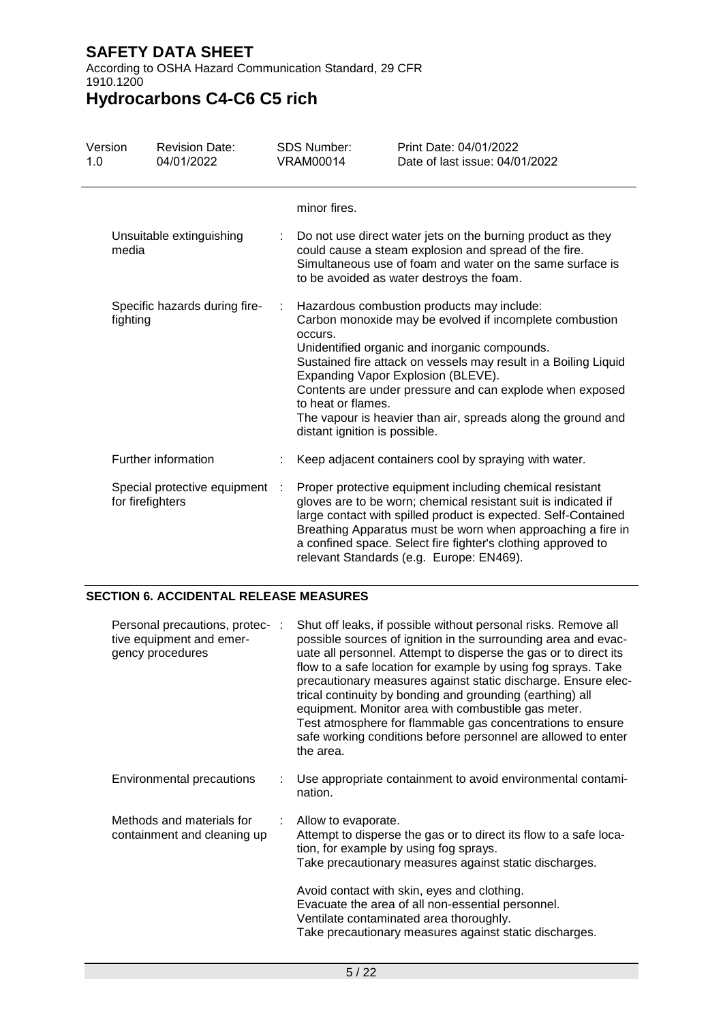According to OSHA Hazard Communication Standard, 29 CFR 1910.1200

## **Hydrocarbons C4-C6 C5 rich**

| Version<br>1.0 | <b>Revision Date:</b><br>04/01/2022                |  | <b>SDS Number:</b><br>VRAM00014                                | Print Date: 04/01/2022<br>Date of last issue: 04/01/2022                                                                                                                                                                                                                                                                                                                                    |
|----------------|----------------------------------------------------|--|----------------------------------------------------------------|---------------------------------------------------------------------------------------------------------------------------------------------------------------------------------------------------------------------------------------------------------------------------------------------------------------------------------------------------------------------------------------------|
|                |                                                    |  | minor fires.                                                   |                                                                                                                                                                                                                                                                                                                                                                                             |
| media          | Unsuitable extinguishing                           |  |                                                                | Do not use direct water jets on the burning product as they<br>could cause a steam explosion and spread of the fire.<br>Simultaneous use of foam and water on the same surface is<br>to be avoided as water destroys the foam.                                                                                                                                                              |
|                | Specific hazards during fire-<br>fighting          |  | occurs.<br>to heat or flames.<br>distant ignition is possible. | Hazardous combustion products may include:<br>Carbon monoxide may be evolved if incomplete combustion<br>Unidentified organic and inorganic compounds.<br>Sustained fire attack on vessels may result in a Boiling Liquid<br>Expanding Vapor Explosion (BLEVE).<br>Contents are under pressure and can explode when exposed<br>The vapour is heavier than air, spreads along the ground and |
|                | Further information                                |  |                                                                | Keep adjacent containers cool by spraying with water.                                                                                                                                                                                                                                                                                                                                       |
|                | Special protective equipment :<br>for firefighters |  |                                                                | Proper protective equipment including chemical resistant<br>gloves are to be worn; chemical resistant suit is indicated if<br>large contact with spilled product is expected. Self-Contained<br>Breathing Apparatus must be worn when approaching a fire in<br>a confined space. Select fire fighter's clothing approved to<br>relevant Standards (e.g. Europe: EN469).                     |

#### **SECTION 6. ACCIDENTAL RELEASE MEASURES**

| Personal precautions, protec- :<br>tive equipment and emer-<br>gency procedures | Shut off leaks, if possible without personal risks. Remove all<br>possible sources of ignition in the surrounding area and evac-<br>uate all personnel. Attempt to disperse the gas or to direct its<br>flow to a safe location for example by using fog sprays. Take<br>precautionary measures against static discharge. Ensure elec-<br>trical continuity by bonding and grounding (earthing) all<br>equipment. Monitor area with combustible gas meter.<br>Test atmosphere for flammable gas concentrations to ensure<br>safe working conditions before personnel are allowed to enter<br>the area. |
|---------------------------------------------------------------------------------|--------------------------------------------------------------------------------------------------------------------------------------------------------------------------------------------------------------------------------------------------------------------------------------------------------------------------------------------------------------------------------------------------------------------------------------------------------------------------------------------------------------------------------------------------------------------------------------------------------|
| Environmental precautions                                                       | Use appropriate containment to avoid environmental contami-<br>nation.                                                                                                                                                                                                                                                                                                                                                                                                                                                                                                                                 |
| Methods and materials for<br>containment and cleaning up                        | : Allow to evaporate.<br>Attempt to disperse the gas or to direct its flow to a safe loca-<br>tion, for example by using fog sprays.<br>Take precautionary measures against static discharges.                                                                                                                                                                                                                                                                                                                                                                                                         |
|                                                                                 | Avoid contact with skin, eyes and clothing.<br>Evacuate the area of all non-essential personnel.<br>Ventilate contaminated area thoroughly.<br>Take precautionary measures against static discharges.                                                                                                                                                                                                                                                                                                                                                                                                  |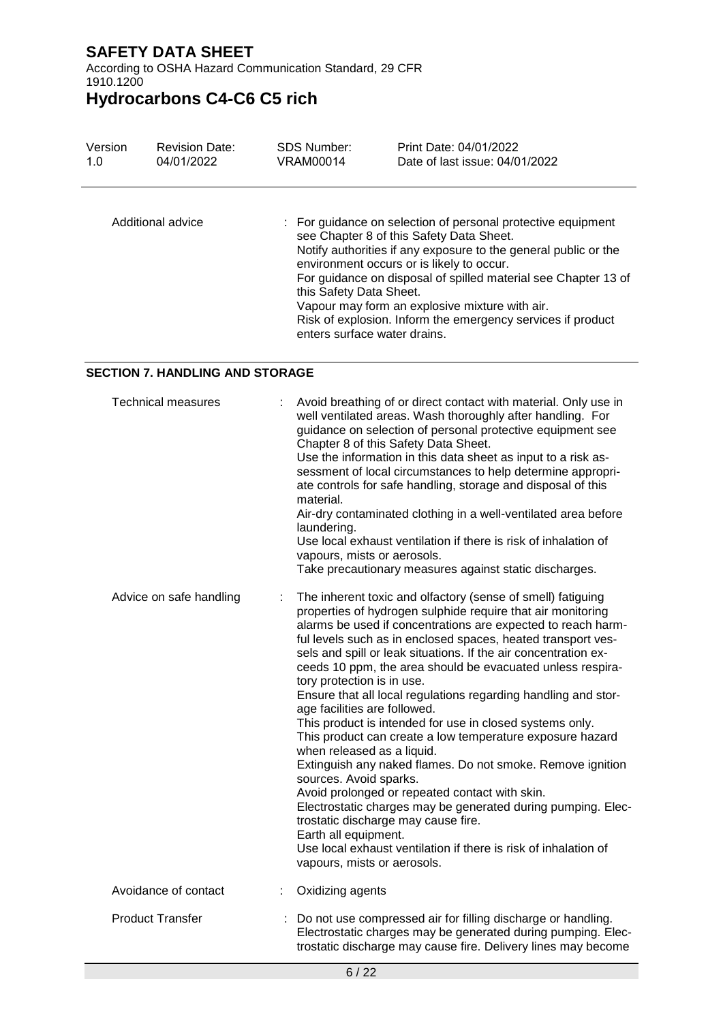According to OSHA Hazard Communication Standard, 29 CFR 1910.1200

# **Hydrocarbons C4-C6 C5 rich**

| Version | <b>Revision Date:</b> | <b>SDS Number:</b>                                      | Print Date: 04/01/2022                                                                                                                                                                                                                                                                                                                                                                                      |
|---------|-----------------------|---------------------------------------------------------|-------------------------------------------------------------------------------------------------------------------------------------------------------------------------------------------------------------------------------------------------------------------------------------------------------------------------------------------------------------------------------------------------------------|
| 1.0     | 04/01/2022            | <b>VRAM00014</b>                                        | Date of last issue: 04/01/2022                                                                                                                                                                                                                                                                                                                                                                              |
|         | Additional advice     | this Safety Data Sheet.<br>enters surface water drains. | : For guidance on selection of personal protective equipment<br>see Chapter 8 of this Safety Data Sheet.<br>Notify authorities if any exposure to the general public or the<br>environment occurs or is likely to occur.<br>For guidance on disposal of spilled material see Chapter 13 of<br>Vapour may form an explosive mixture with air.<br>Risk of explosion. Inform the emergency services if product |

#### **SECTION 7. HANDLING AND STORAGE**

| <b>Technical measures</b> |    | Avoid breathing of or direct contact with material. Only use in<br>well ventilated areas. Wash thoroughly after handling. For<br>guidance on selection of personal protective equipment see<br>Chapter 8 of this Safety Data Sheet.<br>Use the information in this data sheet as input to a risk as-<br>sessment of local circumstances to help determine appropri-<br>ate controls for safe handling, storage and disposal of this<br>material.<br>Air-dry contaminated clothing in a well-ventilated area before<br>laundering.<br>Use local exhaust ventilation if there is risk of inhalation of<br>vapours, mists or aerosols.<br>Take precautionary measures against static discharges.                                                                                                                                                                                                                                                                                                                                                                 |
|---------------------------|----|---------------------------------------------------------------------------------------------------------------------------------------------------------------------------------------------------------------------------------------------------------------------------------------------------------------------------------------------------------------------------------------------------------------------------------------------------------------------------------------------------------------------------------------------------------------------------------------------------------------------------------------------------------------------------------------------------------------------------------------------------------------------------------------------------------------------------------------------------------------------------------------------------------------------------------------------------------------------------------------------------------------------------------------------------------------|
| Advice on safe handling   | ÷. | The inherent toxic and olfactory (sense of smell) fatiguing<br>properties of hydrogen sulphide require that air monitoring<br>alarms be used if concentrations are expected to reach harm-<br>ful levels such as in enclosed spaces, heated transport ves-<br>sels and spill or leak situations. If the air concentration ex-<br>ceeds 10 ppm, the area should be evacuated unless respira-<br>tory protection is in use.<br>Ensure that all local regulations regarding handling and stor-<br>age facilities are followed.<br>This product is intended for use in closed systems only.<br>This product can create a low temperature exposure hazard<br>when released as a liquid.<br>Extinguish any naked flames. Do not smoke. Remove ignition<br>sources. Avoid sparks.<br>Avoid prolonged or repeated contact with skin.<br>Electrostatic charges may be generated during pumping. Elec-<br>trostatic discharge may cause fire.<br>Earth all equipment.<br>Use local exhaust ventilation if there is risk of inhalation of<br>vapours, mists or aerosols. |
| Avoidance of contact      | ÷. | Oxidizing agents                                                                                                                                                                                                                                                                                                                                                                                                                                                                                                                                                                                                                                                                                                                                                                                                                                                                                                                                                                                                                                              |
| <b>Product Transfer</b>   |    | Do not use compressed air for filling discharge or handling.<br>Electrostatic charges may be generated during pumping. Elec-<br>trostatic discharge may cause fire. Delivery lines may become                                                                                                                                                                                                                                                                                                                                                                                                                                                                                                                                                                                                                                                                                                                                                                                                                                                                 |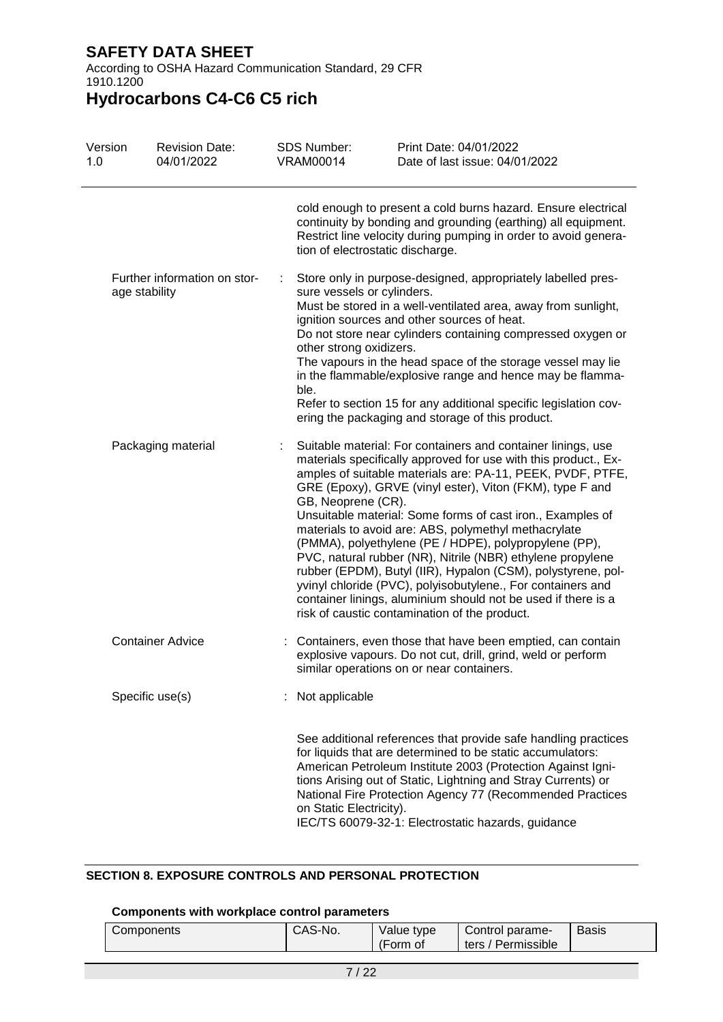According to OSHA Hazard Communication Standard, 29 CFR 1910.1200

# **Hydrocarbons C4-C6 C5 rich**

| Version<br>1.0 | <b>Revision Date:</b><br>04/01/2022           | <b>SDS Number:</b><br><b>VRAM00014</b> | Print Date: 04/01/2022<br>Date of last issue: 04/01/2022                                                                                                                                                                                                                                                                                                                                                                                                                                                                                                                                                                                                                                                                                                |
|----------------|-----------------------------------------------|----------------------------------------|---------------------------------------------------------------------------------------------------------------------------------------------------------------------------------------------------------------------------------------------------------------------------------------------------------------------------------------------------------------------------------------------------------------------------------------------------------------------------------------------------------------------------------------------------------------------------------------------------------------------------------------------------------------------------------------------------------------------------------------------------------|
|                |                                               |                                        | cold enough to present a cold burns hazard. Ensure electrical<br>continuity by bonding and grounding (earthing) all equipment.<br>Restrict line velocity during pumping in order to avoid genera-<br>tion of electrostatic discharge.                                                                                                                                                                                                                                                                                                                                                                                                                                                                                                                   |
|                | Further information on stor-<br>age stability | other strong oxidizers.<br>ble.        | Store only in purpose-designed, appropriately labelled pres-<br>sure vessels or cylinders.<br>Must be stored in a well-ventilated area, away from sunlight,<br>ignition sources and other sources of heat.<br>Do not store near cylinders containing compressed oxygen or<br>The vapours in the head space of the storage vessel may lie<br>in the flammable/explosive range and hence may be flamma-<br>Refer to section 15 for any additional specific legislation cov-<br>ering the packaging and storage of this product.                                                                                                                                                                                                                           |
|                | Packaging material                            | GB, Neoprene (CR).                     | Suitable material: For containers and container linings, use<br>materials specifically approved for use with this product., Ex-<br>amples of suitable materials are: PA-11, PEEK, PVDF, PTFE,<br>GRE (Epoxy), GRVE (vinyl ester), Viton (FKM), type F and<br>Unsuitable material: Some forms of cast iron., Examples of<br>materials to avoid are: ABS, polymethyl methacrylate<br>(PMMA), polyethylene (PE / HDPE), polypropylene (PP),<br>PVC, natural rubber (NR), Nitrile (NBR) ethylene propylene<br>rubber (EPDM), Butyl (IIR), Hypalon (CSM), polystyrene, pol-<br>yvinyl chloride (PVC), polyisobutylene., For containers and<br>container linings, aluminium should not be used if there is a<br>risk of caustic contamination of the product. |
|                | <b>Container Advice</b>                       |                                        | Containers, even those that have been emptied, can contain<br>explosive vapours. Do not cut, drill, grind, weld or perform<br>similar operations on or near containers.                                                                                                                                                                                                                                                                                                                                                                                                                                                                                                                                                                                 |
|                | Specific use(s)                               | Not applicable                         |                                                                                                                                                                                                                                                                                                                                                                                                                                                                                                                                                                                                                                                                                                                                                         |
|                |                                               | on Static Electricity).                | See additional references that provide safe handling practices<br>for liquids that are determined to be static accumulators:<br>American Petroleum Institute 2003 (Protection Against Igni-<br>tions Arising out of Static, Lightning and Stray Currents) or<br>National Fire Protection Agency 77 (Recommended Practices<br>IEC/TS 60079-32-1: Electrostatic hazards, guidance                                                                                                                                                                                                                                                                                                                                                                         |

#### **SECTION 8. EXPOSURE CONTROLS AND PERSONAL PROTECTION**

#### **Components with workplace control parameters**

| Components | CAS-No. | Value type<br>(Form of | Control parame-<br>' Permissible<br>ters | <b>Basis</b> |
|------------|---------|------------------------|------------------------------------------|--------------|
|------------|---------|------------------------|------------------------------------------|--------------|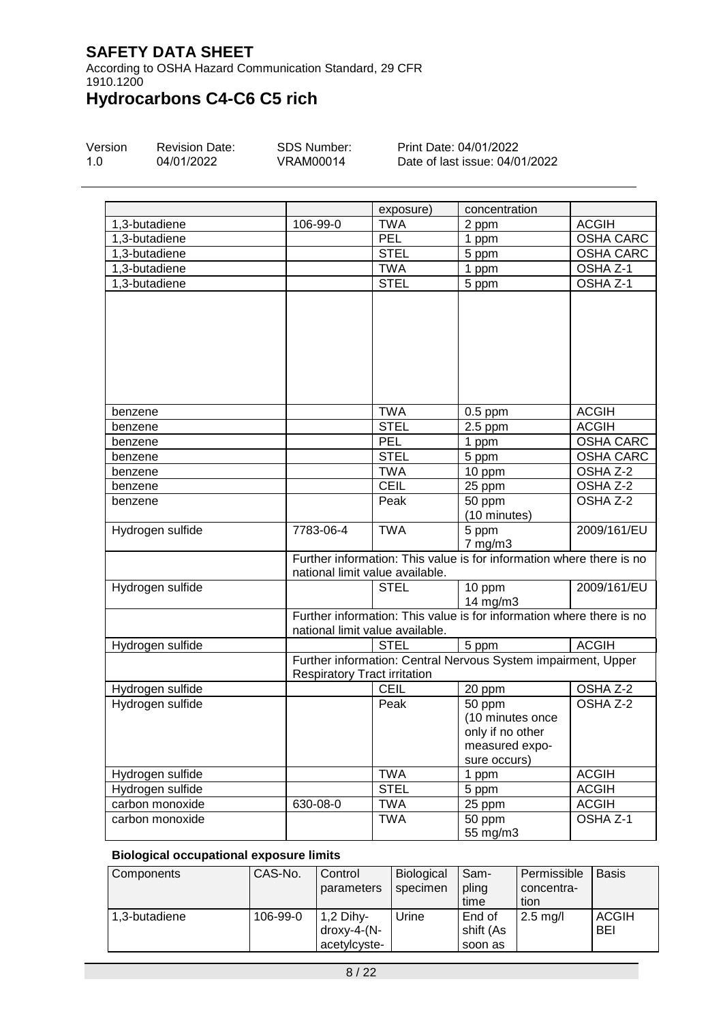According to OSHA Hazard Communication Standard, 29 CFR 1910.1200

# **Hydrocarbons C4-C6 C5 rich**

| Version | <b>Revision Date:</b> | SDS Number: | Print Date: 04/01/2022         |
|---------|-----------------------|-------------|--------------------------------|
| 1.0     | 04/01/2022            | VRAM00014   | Date of last issue: 04/01/2022 |

|                  |                                     | exposure)                 | concentration                                                        |                     |
|------------------|-------------------------------------|---------------------------|----------------------------------------------------------------------|---------------------|
| 1,3-butadiene    | 106-99-0                            | <b>TWA</b>                | 2 ppm                                                                | <b>ACGIH</b>        |
| 1,3-butadiene    |                                     | PEL                       | 1 ppm                                                                | <b>OSHA CARC</b>    |
| 1,3-butadiene    |                                     | <b>STEL</b>               | 5 ppm                                                                | <b>OSHA CARC</b>    |
| 1,3-butadiene    |                                     | <b>TWA</b>                | 1 ppm                                                                | OSHA Z-1            |
| 1,3-butadiene    |                                     | <b>STEL</b>               | 5 ppm                                                                | OSHA <sub>Z-1</sub> |
|                  |                                     |                           |                                                                      |                     |
|                  |                                     |                           |                                                                      |                     |
|                  |                                     |                           |                                                                      |                     |
|                  |                                     |                           |                                                                      |                     |
|                  |                                     |                           |                                                                      |                     |
|                  |                                     |                           |                                                                      |                     |
|                  |                                     |                           |                                                                      |                     |
|                  |                                     |                           |                                                                      |                     |
| benzene          |                                     | <b>TWA</b>                | $0.5$ ppm                                                            | <b>ACGIH</b>        |
| benzene          |                                     | <b>STEL</b>               | $2.5$ ppm                                                            | <b>ACGIH</b>        |
| benzene          |                                     | PEL                       | 1 ppm                                                                | <b>OSHA CARC</b>    |
| benzene          |                                     | <b>STEL</b>               | 5 ppm                                                                | <b>OSHA CARC</b>    |
| benzene          |                                     | <b>TWA</b>                | 10 ppm                                                               | OSHA Z-2            |
| benzene          |                                     | <b>CEIL</b>               | 25 ppm                                                               | OSHA Z-2            |
| benzene          |                                     | Peak                      | 50 ppm                                                               | OSHA Z-2            |
|                  |                                     |                           | (10 minutes)                                                         |                     |
| Hydrogen sulfide | 7783-06-4                           | <b>TWA</b>                | 5 ppm                                                                | 2009/161/EU         |
|                  |                                     |                           | $7$ mg/m $3$                                                         |                     |
|                  |                                     |                           | Further information: This value is for information where there is no |                     |
|                  | national limit value available.     |                           |                                                                      |                     |
| Hydrogen sulfide |                                     | <b>STEL</b>               | 10 ppm                                                               | 2009/161/EU         |
|                  |                                     |                           | 14 mg/m3                                                             |                     |
|                  |                                     |                           | Further information: This value is for information where there is no |                     |
|                  | national limit value available.     |                           |                                                                      |                     |
| Hydrogen sulfide |                                     | <b>STEL</b>               | 5 ppm                                                                | <b>ACGIH</b>        |
|                  |                                     |                           | Further information: Central Nervous System impairment, Upper        |                     |
|                  | <b>Respiratory Tract irritation</b> |                           |                                                                      |                     |
| Hydrogen sulfide |                                     | <b>CEIL</b>               | 20 ppm                                                               | OSHA Z-2            |
|                  |                                     |                           |                                                                      | OSHA Z-2            |
| Hydrogen sulfide |                                     | Peak                      | 50 ppm<br>(10 minutes once                                           |                     |
|                  |                                     |                           | only if no other                                                     |                     |
|                  |                                     |                           |                                                                      |                     |
|                  |                                     |                           | measured expo-                                                       |                     |
|                  |                                     |                           | sure occurs)                                                         | <b>ACGIH</b>        |
| Hydrogen sulfide |                                     | <b>TWA</b><br><b>STEL</b> | 1 ppm                                                                |                     |
| Hydrogen sulfide |                                     |                           | 5 ppm                                                                | <b>ACGIH</b>        |
| carbon monoxide  | 630-08-0                            | <b>TWA</b>                | 25 ppm                                                               | <b>ACGIH</b>        |
| carbon monoxide  |                                     | <b>TWA</b>                | 50 ppm                                                               | OSHA Z-1            |
|                  |                                     |                           | 55 mg/m3                                                             |                     |

#### **Biological occupational exposure limits**

| Components    | CAS-No.  | Control                    | <b>Biological</b> | Sam-      | Permissible        | <b>Basis</b> |
|---------------|----------|----------------------------|-------------------|-----------|--------------------|--------------|
|               |          | parameters                 | specimen          | pling     | concentra-         |              |
|               |          |                            |                   | time      | tion               |              |
| 1.3-butadiene | 106-99-0 | $1,2$ Dihy-                | Urine             | End of    | $2.5 \text{ mg/l}$ | <b>ACGIH</b> |
|               |          | $\frac{d}{dx}$ droxy-4-(N- |                   | shift (As |                    | BEI          |
|               |          | acetylcyste-               |                   | soon as   |                    |              |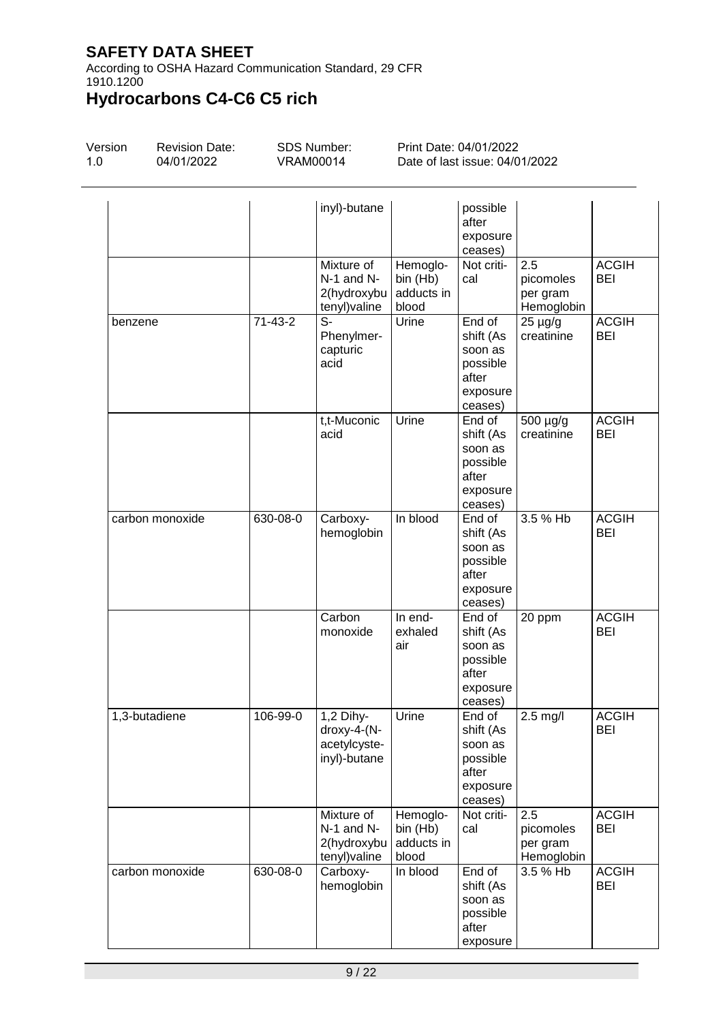According to OSHA Hazard Communication Standard, 29 CFR 1910.1200

# **Hydrocarbons C4-C6 C5 rich**

| Version<br><b>Revision Date:</b><br>1.0<br>04/01/2022 |  |               | SDS Number:<br><b>VRAM00014</b>                              |                                             | Print Date: 04/01/2022<br>Date of last issue: 04/01/2022        |                                            |  |
|-------------------------------------------------------|--|---------------|--------------------------------------------------------------|---------------------------------------------|-----------------------------------------------------------------|--------------------------------------------|--|
|                                                       |  |               | inyl)-butane                                                 |                                             | possible<br>after<br>exposure<br>ceases)                        |                                            |  |
|                                                       |  |               | Mixture of<br>$N-1$ and $N-$<br>2(hydroxybu<br>tenyl) valine | Hemoglo-<br>bin (Hb)<br>adducts in<br>blood | Not criti-<br>cal                                               | 2.5<br>picomoles<br>per gram<br>Hemoglobin |  |
| benzene                                               |  | $71 - 43 - 2$ | S-<br>Phenylmer-<br>capturic<br>acid                         | Urine                                       | End of<br>shift (As<br>soon as<br>possible<br>after<br>exposure | $25 \mu g/g$<br>creatinine                 |  |

ACGIH BEI

| benzene         | 71-43-2        | $S-$<br>Phenylmer-<br>capturic<br>acid                   | Urine                                       | End of<br>shift (As<br>soon as<br>possible<br>after<br>exposure<br>ceases) | $25 \mu g/g$<br>creatinine                 | <b>ACGIH</b><br>BEI        |
|-----------------|----------------|----------------------------------------------------------|---------------------------------------------|----------------------------------------------------------------------------|--------------------------------------------|----------------------------|
|                 |                | t,t-Muconic<br>acid                                      | Urine                                       | End of<br>shift (As<br>soon as<br>possible<br>after<br>exposure<br>ceases) | 500 µg/g<br>creatinine                     | <b>ACGIH</b><br><b>BEI</b> |
| carbon monoxide | $630 - 08 - 0$ | Carboxy-<br>hemoglobin                                   | In blood                                    | End of<br>shift (As<br>soon as<br>possible<br>after<br>exposure<br>ceases) | 3.5 % Hb                                   | <b>ACGIH</b><br><b>BEI</b> |
|                 |                | Carbon<br>monoxide                                       | In end-<br>exhaled<br>air                   | End of<br>shift (As<br>soon as<br>possible<br>after<br>exposure<br>ceases) | 20 ppm                                     | <b>ACGIH</b><br><b>BEI</b> |
| 1,3-butadiene   | 106-99-0       | 1,2 Dihy-<br>droxy-4-(N-<br>acetylcyste-<br>inyl)-butane | Urine                                       | End of<br>shift (As<br>soon as<br>possible<br>after<br>exposure<br>ceases) | $2.5$ mg/l                                 | <b>ACGIH</b><br><b>BEI</b> |
|                 |                | Mixture of<br>N-1 and N-<br>2(hydroxybu<br>tenyl)valine  | Hemoglo-<br>bin (Hb)<br>adducts in<br>blood | Not criti-<br>cal                                                          | 2.5<br>picomoles<br>per gram<br>Hemoglobin | <b>ACGIH</b><br><b>BEI</b> |
| carbon monoxide | 630-08-0       | Carboxy-<br>hemoglobin                                   | In blood                                    | End of<br>shift (As<br>soon as<br>possible<br>after<br>exposure            | 3.5 % Hb                                   | <b>ACGIH</b><br><b>BEI</b> |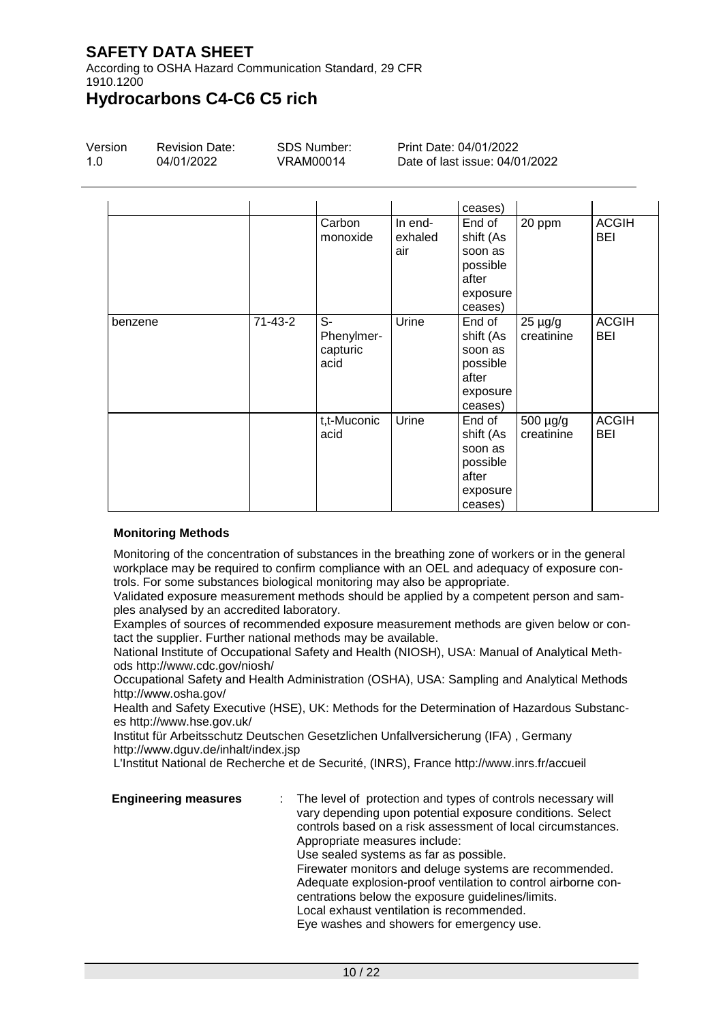According to OSHA Hazard Communication Standard, 29 CFR 1910.1200

### **Hydrocarbons C4-C6 C5 rich**

| Version | <b>Revision Da</b> |
|---------|--------------------|
| 1.0     | 04/01/2022         |

ate:

SDS Number: VRAM00014

Print Date: 04/01/2022 Date of last issue: 04/01/2022

|         |           |                                        |                           | ceases)                                                                    |                            |                     |
|---------|-----------|----------------------------------------|---------------------------|----------------------------------------------------------------------------|----------------------------|---------------------|
|         |           | Carbon<br>monoxide                     | In end-<br>exhaled<br>air | End of<br>shift (As<br>soon as<br>possible<br>after<br>exposure<br>ceases) | 20 ppm                     | <b>ACGIH</b><br>BEI |
| benzene | $71-43-2$ | $S-$<br>Phenylmer-<br>capturic<br>acid | Urine                     | End of<br>shift (As<br>soon as<br>possible<br>after<br>exposure<br>ceases) | $25 \mu g/g$<br>creatinine | <b>ACGIH</b><br>BEI |
|         |           | t,t-Muconic<br>acid                    | Urine                     | End of<br>shift (As<br>soon as<br>possible<br>after<br>exposure<br>ceases) | 500 µg/g<br>creatinine     | <b>ACGIH</b><br>BEI |

#### **Monitoring Methods**

Monitoring of the concentration of substances in the breathing zone of workers or in the general workplace may be required to confirm compliance with an OEL and adequacy of exposure controls. For some substances biological monitoring may also be appropriate.

Validated exposure measurement methods should be applied by a competent person and samples analysed by an accredited laboratory.

Examples of sources of recommended exposure measurement methods are given below or contact the supplier. Further national methods may be available.

National Institute of Occupational Safety and Health (NIOSH), USA: Manual of Analytical Methods http://www.cdc.gov/niosh/

Occupational Safety and Health Administration (OSHA), USA: Sampling and Analytical Methods http://www.osha.gov/

Health and Safety Executive (HSE), UK: Methods for the Determination of Hazardous Substances http://www.hse.gov.uk/

Institut für Arbeitsschutz Deutschen Gesetzlichen Unfallversicherung (IFA) , Germany http://www.dguv.de/inhalt/index.jsp

L'Institut National de Recherche et de Securité, (INRS), France http://www.inrs.fr/accueil

| <b>Engineering measures</b> | The level of protection and types of controls necessary will<br>vary depending upon potential exposure conditions. Select<br>controls based on a risk assessment of local circumstances.<br>Appropriate measures include:<br>Use sealed systems as far as possible.    |
|-----------------------------|------------------------------------------------------------------------------------------------------------------------------------------------------------------------------------------------------------------------------------------------------------------------|
|                             | Firewater monitors and deluge systems are recommended.<br>Adequate explosion-proof ventilation to control airborne con-<br>centrations below the exposure guidelines/limits.<br>Local exhaust ventilation is recommended.<br>Eye washes and showers for emergency use. |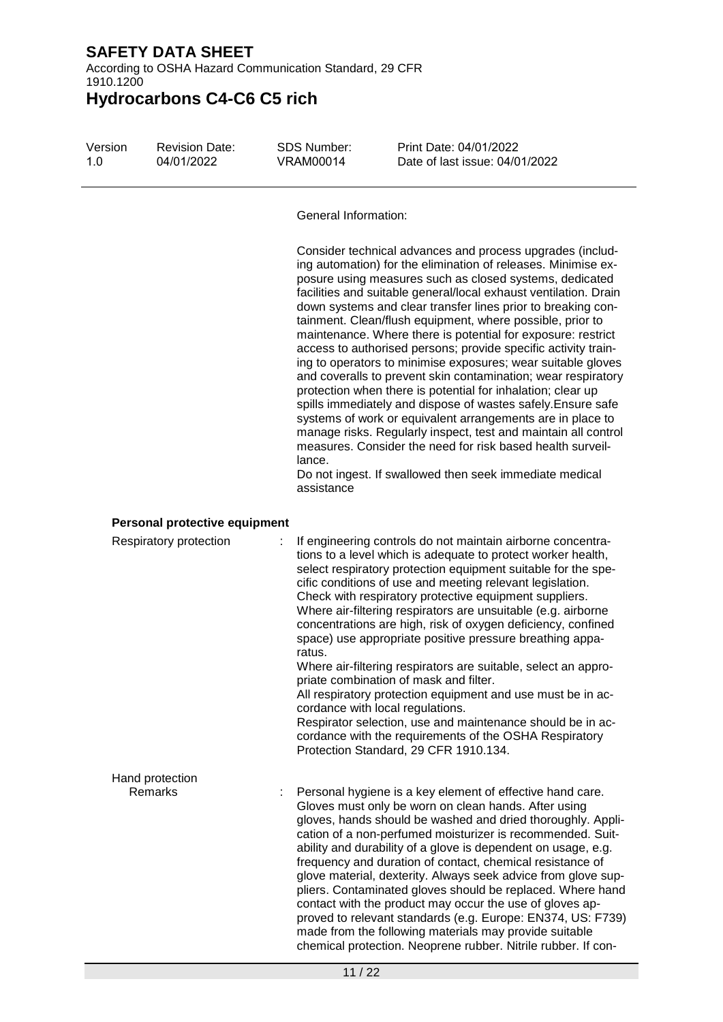According to OSHA Hazard Communication Standard, 29 CFR 1910.1200

### **Hydrocarbons C4-C6 C5 rich**

| Version | <b>Revision Date:</b> | SDS Number: | Print Date: 04/01/2022         |
|---------|-----------------------|-------------|--------------------------------|
| 1 O     | 04/01/2022            | VRAM00014   | Date of last issue: 04/01/2022 |
|         |                       |             |                                |

General Information:

Consider technical advances and process upgrades (including automation) for the elimination of releases. Minimise exposure using measures such as closed systems, dedicated facilities and suitable general/local exhaust ventilation. Drain down systems and clear transfer lines prior to breaking containment. Clean/flush equipment, where possible, prior to maintenance. Where there is potential for exposure: restrict access to authorised persons; provide specific activity training to operators to minimise exposures; wear suitable gloves and coveralls to prevent skin contamination; wear respiratory protection when there is potential for inhalation; clear up spills immediately and dispose of wastes safely.Ensure safe systems of work or equivalent arrangements are in place to manage risks. Regularly inspect, test and maintain all control measures. Consider the need for risk based health surveillance.

Do not ingest. If swallowed then seek immediate medical assistance

#### **Personal protective equipment**

| Respiratory protection | If engineering controls do not maintain airborne concentra-<br>tions to a level which is adequate to protect worker health,<br>select respiratory protection equipment suitable for the spe-<br>cific conditions of use and meeting relevant legislation.<br>Check with respiratory protective equipment suppliers.<br>Where air-filtering respirators are unsuitable (e.g. airborne<br>concentrations are high, risk of oxygen deficiency, confined<br>space) use appropriate positive pressure breathing appa-<br>ratus.<br>Where air-filtering respirators are suitable, select an appro-<br>priate combination of mask and filter.<br>All respiratory protection equipment and use must be in ac-<br>cordance with local regulations.<br>Respirator selection, use and maintenance should be in ac-<br>cordance with the requirements of the OSHA Respiratory<br>Protection Standard, 29 CFR 1910.134. |
|------------------------|------------------------------------------------------------------------------------------------------------------------------------------------------------------------------------------------------------------------------------------------------------------------------------------------------------------------------------------------------------------------------------------------------------------------------------------------------------------------------------------------------------------------------------------------------------------------------------------------------------------------------------------------------------------------------------------------------------------------------------------------------------------------------------------------------------------------------------------------------------------------------------------------------------|
| Hand protection        |                                                                                                                                                                                                                                                                                                                                                                                                                                                                                                                                                                                                                                                                                                                                                                                                                                                                                                            |
| Remarks                | Personal hygiene is a key element of effective hand care.<br>Gloves must only be worn on clean hands. After using<br>gloves, hands should be washed and dried thoroughly. Appli-<br>cation of a non-perfumed moisturizer is recommended. Suit-<br>ability and durability of a glove is dependent on usage, e.g.<br>frequency and duration of contact, chemical resistance of<br>glove material, dexterity. Always seek advice from glove sup-<br>pliers. Contaminated gloves should be replaced. Where hand<br>contact with the product may occur the use of gloves ap-<br>proved to relevant standards (e.g. Europe: EN374, US: F739)<br>made from the following materials may provide suitable<br>chemical protection. Neoprene rubber. Nitrile rubber. If con-                                                                                                                                          |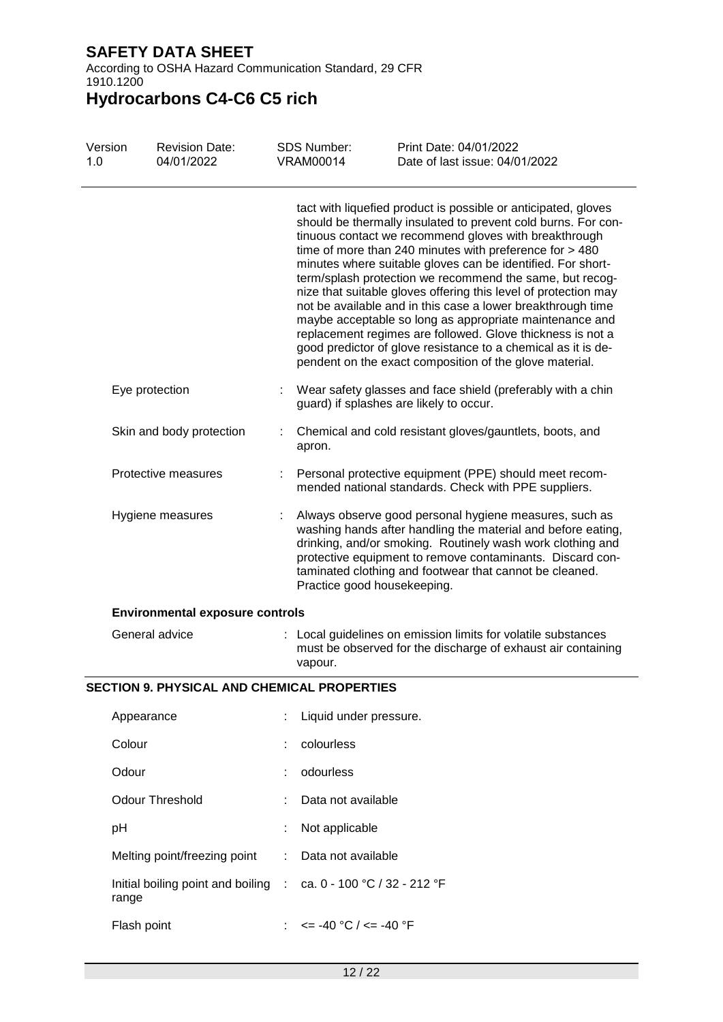According to OSHA Hazard Communication Standard, 29 CFR 1910.1200

# **Hydrocarbons C4-C6 C5 rich**

| Version<br>1.0 |                     | <b>Revision Date:</b><br>04/01/2022                |    | <b>SDS Number:</b><br><b>VRAM00014</b>    | Print Date: 04/01/2022<br>Date of last issue: 04/01/2022                                                                                                                                                                                                                                                                                                                                                                                                                                                                                                                                                                                                                                                                                                              |
|----------------|---------------------|----------------------------------------------------|----|-------------------------------------------|-----------------------------------------------------------------------------------------------------------------------------------------------------------------------------------------------------------------------------------------------------------------------------------------------------------------------------------------------------------------------------------------------------------------------------------------------------------------------------------------------------------------------------------------------------------------------------------------------------------------------------------------------------------------------------------------------------------------------------------------------------------------------|
|                |                     |                                                    |    |                                           | tact with liquefied product is possible or anticipated, gloves<br>should be thermally insulated to prevent cold burns. For con-<br>tinuous contact we recommend gloves with breakthrough<br>time of more than 240 minutes with preference for > 480<br>minutes where suitable gloves can be identified. For short-<br>term/splash protection we recommend the same, but recog-<br>nize that suitable gloves offering this level of protection may<br>not be available and in this case a lower breakthrough time<br>maybe acceptable so long as appropriate maintenance and<br>replacement regimes are followed. Glove thickness is not a<br>good predictor of glove resistance to a chemical as it is de-<br>pendent on the exact composition of the glove material. |
|                | Eye protection      |                                                    |    |                                           | Wear safety glasses and face shield (preferably with a chin<br>guard) if splashes are likely to occur.                                                                                                                                                                                                                                                                                                                                                                                                                                                                                                                                                                                                                                                                |
|                |                     | Skin and body protection                           | ÷. | apron.                                    | Chemical and cold resistant gloves/gauntlets, boots, and                                                                                                                                                                                                                                                                                                                                                                                                                                                                                                                                                                                                                                                                                                              |
|                | Protective measures |                                                    |    |                                           | Personal protective equipment (PPE) should meet recom-<br>mended national standards. Check with PPE suppliers.                                                                                                                                                                                                                                                                                                                                                                                                                                                                                                                                                                                                                                                        |
|                | Hygiene measures    |                                                    |    | Practice good housekeeping.               | Always observe good personal hygiene measures, such as<br>washing hands after handling the material and before eating,<br>drinking, and/or smoking. Routinely wash work clothing and<br>protective equipment to remove contaminants. Discard con-<br>taminated clothing and footwear that cannot be cleaned.                                                                                                                                                                                                                                                                                                                                                                                                                                                          |
|                |                     | <b>Environmental exposure controls</b>             |    |                                           |                                                                                                                                                                                                                                                                                                                                                                                                                                                                                                                                                                                                                                                                                                                                                                       |
|                |                     | General advice                                     |    | vapour.                                   | Local guidelines on emission limits for volatile substances<br>must be observed for the discharge of exhaust air containing                                                                                                                                                                                                                                                                                                                                                                                                                                                                                                                                                                                                                                           |
|                |                     | <b>SECTION 9. PHYSICAL AND CHEMICAL PROPERTIES</b> |    |                                           |                                                                                                                                                                                                                                                                                                                                                                                                                                                                                                                                                                                                                                                                                                                                                                       |
|                | Appearance          |                                                    |    | Liquid under pressure.                    |                                                                                                                                                                                                                                                                                                                                                                                                                                                                                                                                                                                                                                                                                                                                                                       |
|                | Colour              |                                                    |    | colourless                                |                                                                                                                                                                                                                                                                                                                                                                                                                                                                                                                                                                                                                                                                                                                                                                       |
|                | Odour               |                                                    |    | odourless                                 |                                                                                                                                                                                                                                                                                                                                                                                                                                                                                                                                                                                                                                                                                                                                                                       |
|                |                     | <b>Odour Threshold</b>                             |    | Data not available                        |                                                                                                                                                                                                                                                                                                                                                                                                                                                                                                                                                                                                                                                                                                                                                                       |
|                | pH                  |                                                    |    | Not applicable                            |                                                                                                                                                                                                                                                                                                                                                                                                                                                                                                                                                                                                                                                                                                                                                                       |
|                |                     | Melting point/freezing point                       |    | Data not available                        |                                                                                                                                                                                                                                                                                                                                                                                                                                                                                                                                                                                                                                                                                                                                                                       |
|                | range               | Initial boiling point and boiling :                |    | ca. 0 - 100 °C / 32 - 212 °F              |                                                                                                                                                                                                                                                                                                                                                                                                                                                                                                                                                                                                                                                                                                                                                                       |
|                | Flash point         |                                                    |    | $\epsilon$ = -40 °C / $\epsilon$ = -40 °F |                                                                                                                                                                                                                                                                                                                                                                                                                                                                                                                                                                                                                                                                                                                                                                       |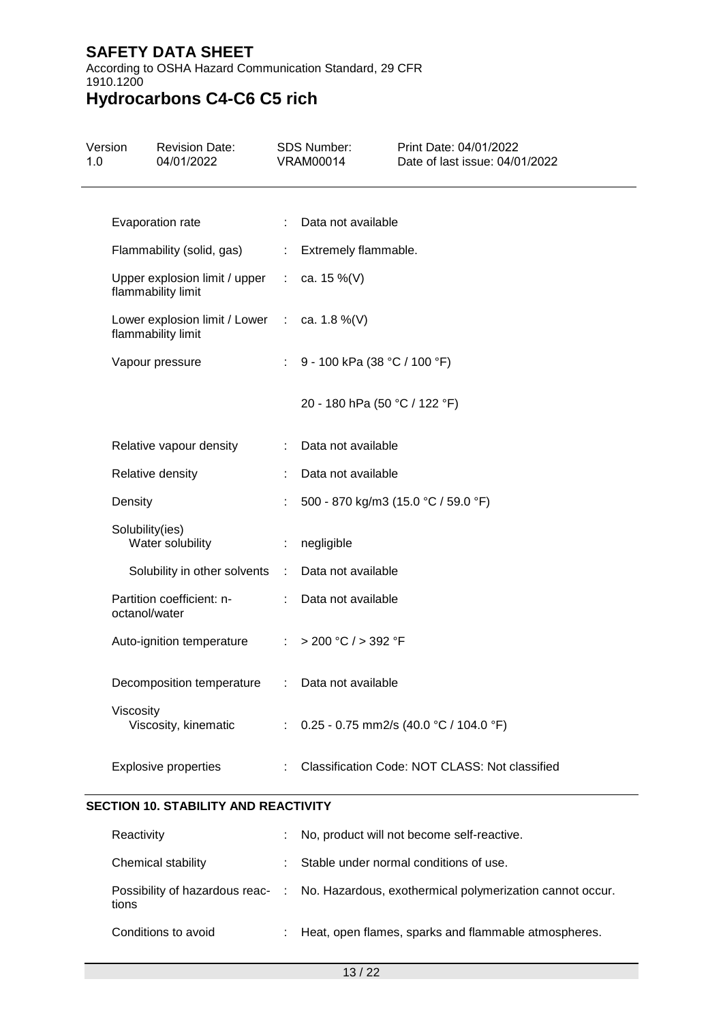According to OSHA Hazard Communication Standard, 29 CFR 1910.1200

# **Hydrocarbons C4-C6 C5 rich**

| Version<br>1.0 |                             | <b>Revision Date:</b><br>04/01/2022                                |    | <b>SDS Number:</b><br><b>VRAM00014</b> | Print Date: 04/01/2022<br>Date of last issue: 04/01/2022 |
|----------------|-----------------------------|--------------------------------------------------------------------|----|----------------------------------------|----------------------------------------------------------|
|                |                             | Evaporation rate                                                   |    | : Data not available                   |                                                          |
|                |                             | Flammability (solid, gas)                                          |    | : Extremely flammable.                 |                                                          |
|                |                             | Upper explosion limit / upper : ca. 15 %(V)<br>flammability limit  |    |                                        |                                                          |
|                |                             | Lower explosion limit / Lower : ca. 1.8 %(V)<br>flammability limit |    |                                        |                                                          |
|                |                             | Vapour pressure                                                    |    | : 9 - 100 kPa (38 °C / 100 °F)         |                                                          |
|                |                             |                                                                    |    | 20 - 180 hPa (50 °C / 122 °F)          |                                                          |
|                |                             | Relative vapour density                                            |    | : Data not available                   |                                                          |
|                | Relative density<br>Density |                                                                    |    | Data not available                     |                                                          |
|                |                             |                                                                    |    |                                        | 500 - 870 kg/m3 (15.0 °C / 59.0 °F)                      |
|                | Solubility(ies)             | Water solubility                                                   | ÷. | negligible                             |                                                          |
|                |                             | Solubility in other solvents :                                     |    | Data not available                     |                                                          |
|                | octanol/water               | Partition coefficient: n-                                          |    | : Data not available                   |                                                          |
|                |                             | Auto-ignition temperature : > 200 °C / > 392 °F                    |    |                                        |                                                          |
|                |                             | Decomposition temperature : Data not available                     |    |                                        |                                                          |
|                | Viscosity                   | Viscosity, kinematic                                               |    |                                        | : $0.25 - 0.75$ mm2/s (40.0 °C / 104.0 °F)               |
|                |                             | <b>Explosive properties</b>                                        |    |                                        | Classification Code: NOT CLASS: Not classified           |

### **SECTION 10. STABILITY AND REACTIVITY**

| Reactivity          | : No, product will not become self-reactive.                                              |
|---------------------|-------------------------------------------------------------------------------------------|
| Chemical stability  | Stable under normal conditions of use.                                                    |
| tions               | Possibility of hazardous reac- : No. Hazardous, exothermical polymerization cannot occur. |
| Conditions to avoid | Heat, open flames, sparks and flammable atmospheres.                                      |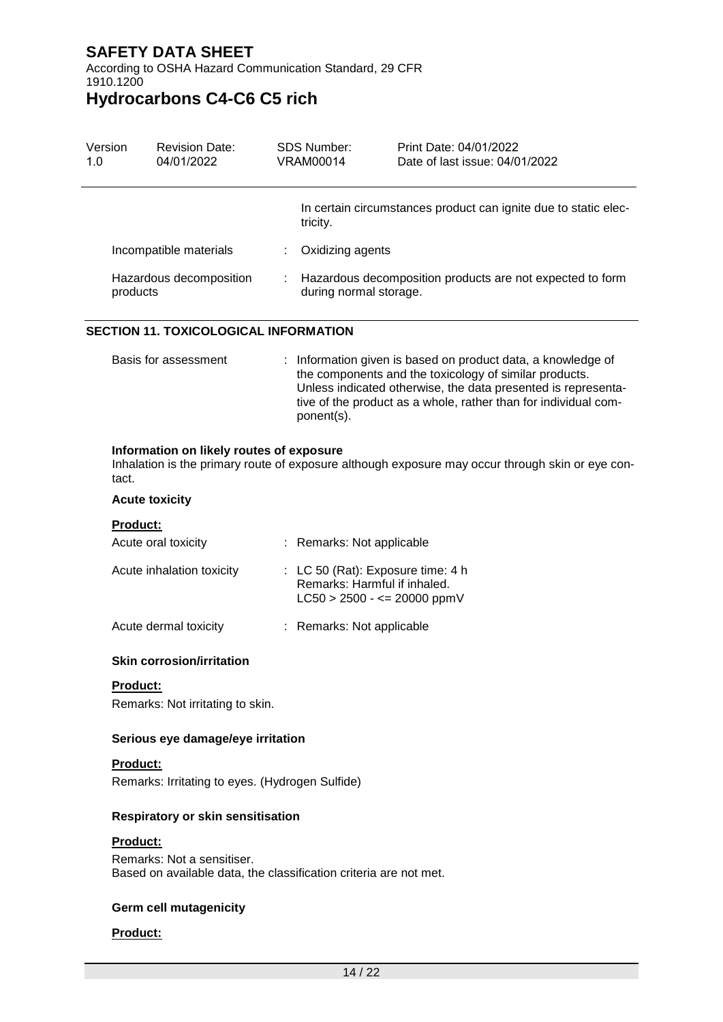According to OSHA Hazard Communication Standard, 29 CFR 1910.1200

# **Hydrocarbons C4-C6 C5 rich**

| Version<br>1.0                                                                    |                                                                                                             | <b>Revision Date:</b><br>04/01/2022          |  | <b>SDS Number:</b><br><b>VRAM00014</b>                                                              | Print Date: 04/01/2022<br>Date of last issue: 04/01/2022                                                                                                                                                                                                 |  |
|-----------------------------------------------------------------------------------|-------------------------------------------------------------------------------------------------------------|----------------------------------------------|--|-----------------------------------------------------------------------------------------------------|----------------------------------------------------------------------------------------------------------------------------------------------------------------------------------------------------------------------------------------------------------|--|
|                                                                                   |                                                                                                             |                                              |  | tricity.                                                                                            | In certain circumstances product can ignite due to static elec-                                                                                                                                                                                          |  |
|                                                                                   |                                                                                                             | Incompatible materials                       |  | Oxidizing agents                                                                                    |                                                                                                                                                                                                                                                          |  |
|                                                                                   | Hazardous decomposition<br>products                                                                         |                                              |  | Hazardous decomposition products are not expected to form<br>during normal storage.                 |                                                                                                                                                                                                                                                          |  |
|                                                                                   |                                                                                                             | <b>SECTION 11. TOXICOLOGICAL INFORMATION</b> |  |                                                                                                     |                                                                                                                                                                                                                                                          |  |
|                                                                                   |                                                                                                             | Basis for assessment                         |  | ponent(s).                                                                                          | Information given is based on product data, a knowledge of<br>the components and the toxicology of similar products.<br>Unless indicated otherwise, the data presented is representa-<br>tive of the product as a whole, rather than for individual com- |  |
|                                                                                   | Information on likely routes of exposure<br>tact.                                                           |                                              |  |                                                                                                     | Inhalation is the primary route of exposure although exposure may occur through skin or eye con-                                                                                                                                                         |  |
|                                                                                   |                                                                                                             | <b>Acute toxicity</b>                        |  |                                                                                                     |                                                                                                                                                                                                                                                          |  |
|                                                                                   | <b>Product:</b>                                                                                             |                                              |  |                                                                                                     |                                                                                                                                                                                                                                                          |  |
|                                                                                   |                                                                                                             | Acute oral toxicity                          |  | : Remarks: Not applicable                                                                           |                                                                                                                                                                                                                                                          |  |
|                                                                                   |                                                                                                             | Acute inhalation toxicity                    |  | : LC 50 (Rat): Exposure time: 4 h<br>Remarks: Harmful if inhaled.<br>$LC50 > 2500 - \le 20000$ ppmV |                                                                                                                                                                                                                                                          |  |
|                                                                                   |                                                                                                             | Acute dermal toxicity                        |  | : Remarks: Not applicable                                                                           |                                                                                                                                                                                                                                                          |  |
|                                                                                   |                                                                                                             | <b>Skin corrosion/irritation</b>             |  |                                                                                                     |                                                                                                                                                                                                                                                          |  |
| Product:<br>Remarks: Not irritating to skin.<br>Serious eye damage/eye irritation |                                                                                                             |                                              |  |                                                                                                     |                                                                                                                                                                                                                                                          |  |
|                                                                                   |                                                                                                             |                                              |  |                                                                                                     |                                                                                                                                                                                                                                                          |  |
|                                                                                   | <b>Product:</b><br>Remarks: Irritating to eyes. (Hydrogen Sulfide)                                          |                                              |  |                                                                                                     |                                                                                                                                                                                                                                                          |  |
| Respiratory or skin sensitisation                                                 |                                                                                                             |                                              |  |                                                                                                     |                                                                                                                                                                                                                                                          |  |
|                                                                                   | Product:<br>Remarks: Not a sensitiser.<br>Based on available data, the classification criteria are not met. |                                              |  |                                                                                                     |                                                                                                                                                                                                                                                          |  |

#### **Germ cell mutagenicity**

#### **Product:**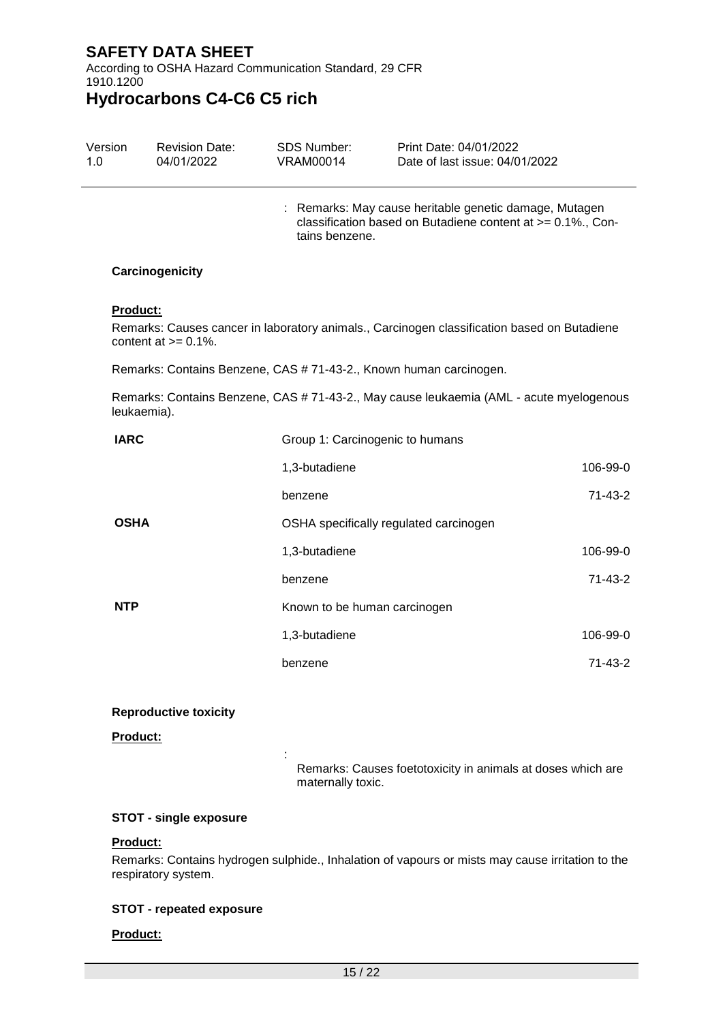According to OSHA Hazard Communication Standard, 29 CFR 1910.1200

## **Hydrocarbons C4-C6 C5 rich**

| Version | <b>Revision Date:</b> | SDS Number: | Print Date: 04/01/2022         |
|---------|-----------------------|-------------|--------------------------------|
| 1.0     | 04/01/2022            | VRAM00014   | Date of last issue: 04/01/2022 |

: Remarks: May cause heritable genetic damage, Mutagen classification based on Butadiene content at >= 0.1%., Contains benzene.

#### **Carcinogenicity**

#### **Product:**

Remarks: Causes cancer in laboratory animals., Carcinogen classification based on Butadiene content at  $>= 0.1\%$ .

Remarks: Contains Benzene, CAS # 71-43-2., Known human carcinogen.

:

Remarks: Contains Benzene, CAS # 71-43-2., May cause leukaemia (AML - acute myelogenous leukaemia).

| <b>IARC</b> | Group 1: Carcinogenic to humans        |               |
|-------------|----------------------------------------|---------------|
|             | 1,3-butadiene                          | 106-99-0      |
|             | benzene                                | $71 - 43 - 2$ |
| <b>OSHA</b> | OSHA specifically regulated carcinogen |               |
|             | 1,3-butadiene                          | 106-99-0      |
|             | benzene                                | $71 - 43 - 2$ |
| <b>NTP</b>  | Known to be human carcinogen           |               |
|             | 1,3-butadiene                          | 106-99-0      |
|             | benzene                                | $71 - 43 - 2$ |

#### **Reproductive toxicity**

**Product:**

Remarks: Causes foetotoxicity in animals at doses which are maternally toxic.

#### **STOT - single exposure**

#### **Product:**

Remarks: Contains hydrogen sulphide., Inhalation of vapours or mists may cause irritation to the respiratory system.

#### **STOT - repeated exposure**

#### **Product:**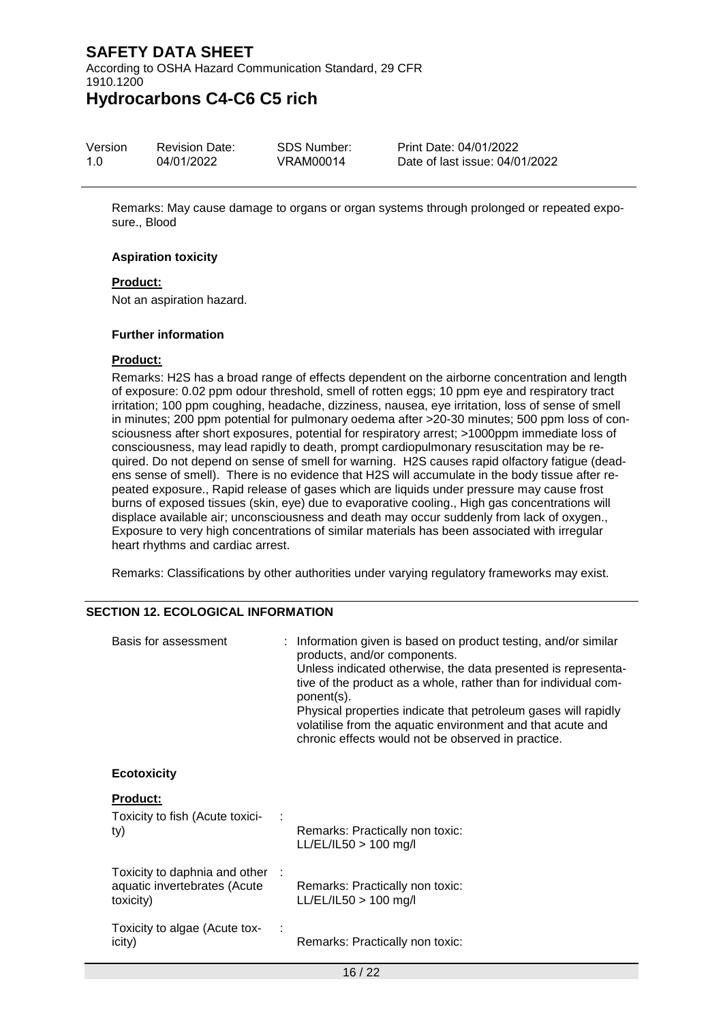According to OSHA Hazard Communication Standard, 29 CFR 1910.1200

## **Hydrocarbons C4-C6 C5 rich**

| Version | <b>Revision Date:</b> | <b>SDS Number:</b> | Print Date: |
|---------|-----------------------|--------------------|-------------|
| 1.0     | 04/01/2022            | VRAM00014          | Date of las |

04/01/2022 t issue: 04/01/2022

Remarks: May cause damage to organs or organ systems through prolonged or repeated exposure., Blood

#### **Aspiration toxicity**

#### **Product:**

Not an aspiration hazard.

#### **Further information**

#### **Product:**

Remarks: H2S has a broad range of effects dependent on the airborne concentration and length of exposure: 0.02 ppm odour threshold, smell of rotten eggs; 10 ppm eye and respiratory tract irritation; 100 ppm coughing, headache, dizziness, nausea, eye irritation, loss of sense of smell in minutes; 200 ppm potential for pulmonary oedema after >20-30 minutes; 500 ppm loss of consciousness after short exposures, potential for respiratory arrest; >1000ppm immediate loss of consciousness, may lead rapidly to death, prompt cardiopulmonary resuscitation may be required. Do not depend on sense of smell for warning. H2S causes rapid olfactory fatigue (deadens sense of smell). There is no evidence that H2S will accumulate in the body tissue after repeated exposure., Rapid release of gases which are liquids under pressure may cause frost burns of exposed tissues (skin, eye) due to evaporative cooling., High gas concentrations will displace available air; unconsciousness and death may occur suddenly from lack of oxygen., Exposure to very high concentrations of similar materials has been associated with irregular heart rhythms and cardiac arrest.

Remarks: Classifications by other authorities under varying regulatory frameworks may exist.

#### **SECTION 12. ECOLOGICAL INFORMATION**

| Basis for assessment                                                         | : Information given is based on product testing, and/or similar<br>products, and/or components.<br>Unless indicated otherwise, the data presented is representa-<br>tive of the product as a whole, rather than for individual com-<br>ponent(s).<br>Physical properties indicate that petroleum gases will rapidly<br>volatilise from the aquatic environment and that acute and<br>chronic effects would not be observed in practice. |
|------------------------------------------------------------------------------|-----------------------------------------------------------------------------------------------------------------------------------------------------------------------------------------------------------------------------------------------------------------------------------------------------------------------------------------------------------------------------------------------------------------------------------------|
| <b>Ecotoxicity</b>                                                           |                                                                                                                                                                                                                                                                                                                                                                                                                                         |
| <b>Product:</b><br>Toxicity to fish (Acute toxici-<br>ty)                    | Remarks: Practically non toxic:<br>$LL/EL/IL50 > 100$ mg/l                                                                                                                                                                                                                                                                                                                                                                              |
| Toxicity to daphnia and other :<br>aquatic invertebrates (Acute<br>toxicity) | Remarks: Practically non toxic:<br>$LL/EL/IL50 > 100$ mg/l                                                                                                                                                                                                                                                                                                                                                                              |
| Toxicity to algae (Acute tox-<br>icity)                                      | Remarks: Practically non toxic:                                                                                                                                                                                                                                                                                                                                                                                                         |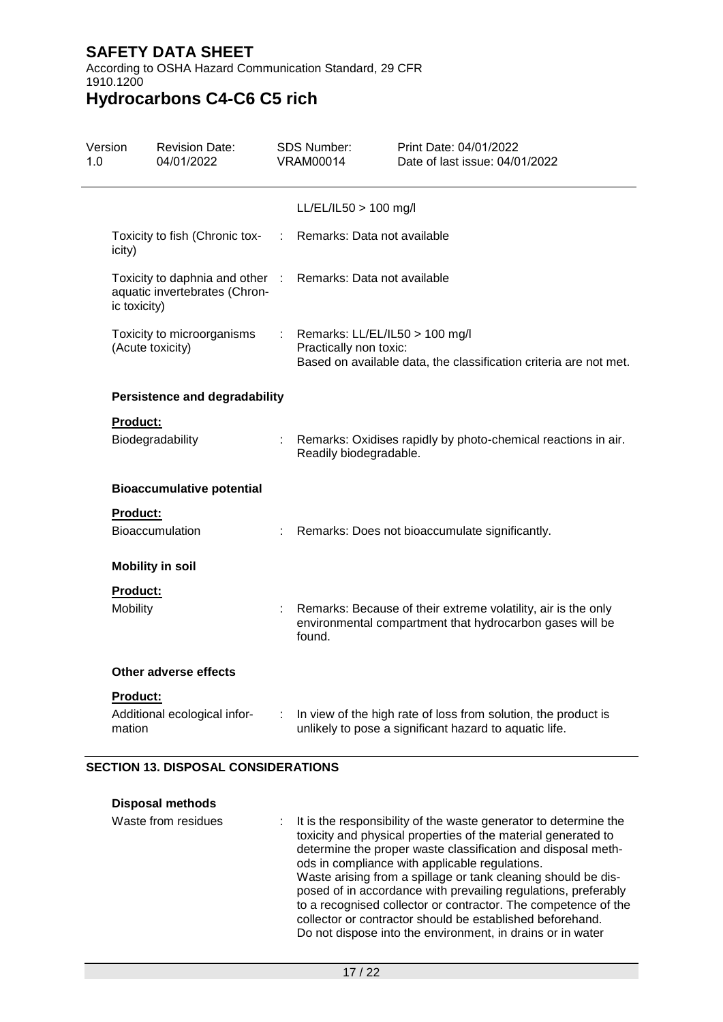According to OSHA Hazard Communication Standard, 29 CFR 1910.1200

# **Hydrocarbons C4-C6 C5 rich**

| Version         | <b>Revision Date:</b><br>04/01/2022                              |   | SDS Number:<br>VRAM00014    | Print Date: 04/01/2022<br>Date of last issue: 04/01/2022                                                                  |
|-----------------|------------------------------------------------------------------|---|-----------------------------|---------------------------------------------------------------------------------------------------------------------------|
|                 |                                                                  |   | LL/EL/IL50 > 100 mg/l       |                                                                                                                           |
| icity)          | Toxicity to fish (Chronic tox-                                   |   | Remarks: Data not available |                                                                                                                           |
| ic toxicity)    | Toxicity to daphnia and other :<br>aquatic invertebrates (Chron- |   | Remarks: Data not available |                                                                                                                           |
|                 | Toxicity to microorganisms<br>(Acute toxicity)                   | ÷ | Practically non toxic:      | Remarks: LL/EL/IL50 > 100 mg/l<br>Based on available data, the classification criteria are not met.                       |
|                 | <b>Persistence and degradability</b>                             |   |                             |                                                                                                                           |
| <b>Product:</b> |                                                                  |   |                             |                                                                                                                           |
|                 | Biodegradability                                                 |   | Readily biodegradable.      | Remarks: Oxidises rapidly by photo-chemical reactions in air.                                                             |
|                 | <b>Bioaccumulative potential</b>                                 |   |                             |                                                                                                                           |
| <b>Product:</b> |                                                                  |   |                             |                                                                                                                           |
|                 | Bioaccumulation                                                  |   |                             | Remarks: Does not bioaccumulate significantly.                                                                            |
|                 | <b>Mobility in soil</b>                                          |   |                             |                                                                                                                           |
| <b>Product:</b> |                                                                  |   |                             |                                                                                                                           |
| Mobility        |                                                                  |   | found.                      | Remarks: Because of their extreme volatility, air is the only<br>environmental compartment that hydrocarbon gases will be |
|                 | Other adverse effects                                            |   |                             |                                                                                                                           |
| <b>Product:</b> |                                                                  |   |                             |                                                                                                                           |
| mation          | Additional ecological infor-                                     |   |                             | In view of the high rate of loss from solution, the product is<br>unlikely to pose a significant hazard to aquatic life.  |

#### **SECTION 13. DISPOSAL CONSIDERATIONS**

| <b>Disposal methods</b> |                                                                                                                                                                                                                                                                                                                                                                                                                                                                                                                                                                                     |
|-------------------------|-------------------------------------------------------------------------------------------------------------------------------------------------------------------------------------------------------------------------------------------------------------------------------------------------------------------------------------------------------------------------------------------------------------------------------------------------------------------------------------------------------------------------------------------------------------------------------------|
| Waste from residues     | It is the responsibility of the waste generator to determine the<br>toxicity and physical properties of the material generated to<br>determine the proper waste classification and disposal meth-<br>ods in compliance with applicable regulations.<br>Waste arising from a spillage or tank cleaning should be dis-<br>posed of in accordance with prevailing regulations, preferably<br>to a recognised collector or contractor. The competence of the<br>collector or contractor should be established beforehand.<br>Do not dispose into the environment, in drains or in water |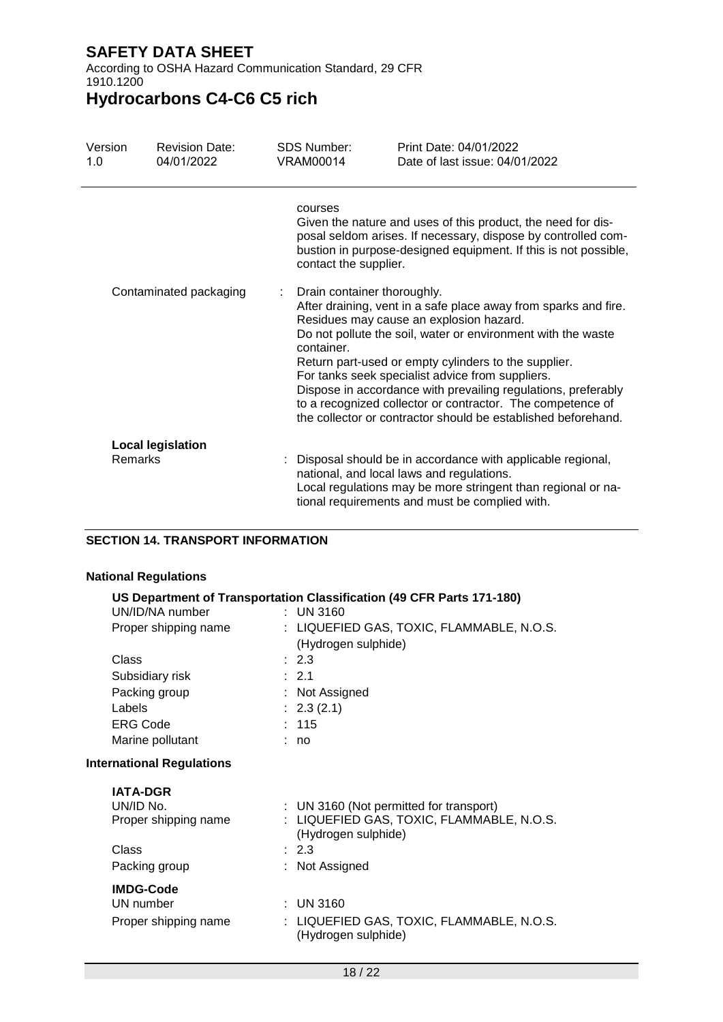According to OSHA Hazard Communication Standard, 29 CFR 1910.1200

## **Hydrocarbons C4-C6 C5 rich**

| Version<br>1.0         | <b>Revision Date:</b><br>04/01/2022 | <b>SDS Number:</b><br><b>VRAM00014</b>         | Print Date: 04/01/2022<br>Date of last issue: 04/01/2022                                                                                                                                                                                                                                                                                                                                                                                                                               |
|------------------------|-------------------------------------|------------------------------------------------|----------------------------------------------------------------------------------------------------------------------------------------------------------------------------------------------------------------------------------------------------------------------------------------------------------------------------------------------------------------------------------------------------------------------------------------------------------------------------------------|
|                        |                                     | courses<br>contact the supplier.               | Given the nature and uses of this product, the need for dis-<br>posal seldom arises. If necessary, dispose by controlled com-<br>bustion in purpose-designed equipment. If this is not possible,                                                                                                                                                                                                                                                                                       |
| Contaminated packaging |                                     | Drain container thoroughly.<br>÷<br>container. | After draining, vent in a safe place away from sparks and fire.<br>Residues may cause an explosion hazard.<br>Do not pollute the soil, water or environment with the waste<br>Return part-used or empty cylinders to the supplier.<br>For tanks seek specialist advice from suppliers.<br>Dispose in accordance with prevailing regulations, preferably<br>to a recognized collector or contractor. The competence of<br>the collector or contractor should be established beforehand. |
| Remarks                | <b>Local legislation</b>            |                                                | Disposal should be in accordance with applicable regional,<br>national, and local laws and regulations.<br>Local regulations may be more stringent than regional or na-<br>tional requirements and must be complied with.                                                                                                                                                                                                                                                              |

#### **SECTION 14. TRANSPORT INFORMATION**

#### **National Regulations**

|                                  | US Department of Transportation Classification (49 CFR Parts 171-180) |  |  |  |  |  |
|----------------------------------|-----------------------------------------------------------------------|--|--|--|--|--|
| UN/ID/NA number                  | : UN 3160                                                             |  |  |  |  |  |
| Proper shipping name             | : LIQUEFIED GAS, TOXIC, FLAMMABLE, N.O.S.                             |  |  |  |  |  |
|                                  | (Hydrogen sulphide)                                                   |  |  |  |  |  |
| Class                            | $\div$ 2.3                                                            |  |  |  |  |  |
| Subsidiary risk                  | $\therefore$ 2.1                                                      |  |  |  |  |  |
| Packing group                    | : Not Assigned                                                        |  |  |  |  |  |
| Labels                           | : 2.3(2.1)                                                            |  |  |  |  |  |
| <b>ERG Code</b>                  | : 115                                                                 |  |  |  |  |  |
| Marine pollutant                 | : no                                                                  |  |  |  |  |  |
| <b>International Regulations</b> |                                                                       |  |  |  |  |  |
| <b>IATA-DGR</b>                  |                                                                       |  |  |  |  |  |
| UN/ID No.                        | : UN 3160 (Not permitted for transport)                               |  |  |  |  |  |
| Proper shipping name             | : LIQUEFIED GAS, TOXIC, FLAMMABLE, N.O.S.<br>(Hydrogen sulphide)      |  |  |  |  |  |
| Class                            | $\div$ 2.3                                                            |  |  |  |  |  |
| Packing group                    | : Not Assigned                                                        |  |  |  |  |  |
| <b>IMDG-Code</b>                 |                                                                       |  |  |  |  |  |
| UN number                        | $\pm$ UN 3160                                                         |  |  |  |  |  |
| Proper shipping name             | LIQUEFIED GAS, TOXIC, FLAMMABLE, N.O.S.<br>(Hydrogen sulphide)        |  |  |  |  |  |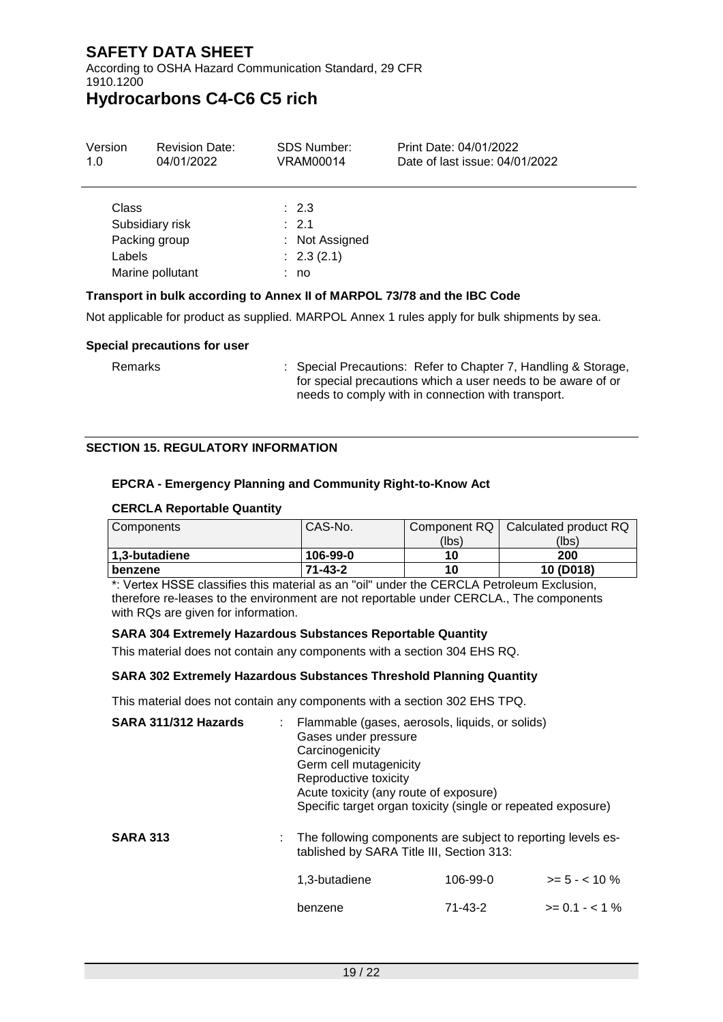According to OSHA Hazard Communication Standard, 29 CFR 1910.1200

### **Hydrocarbons C4-C6 C5 rich**

| Version                          | <b>Revision Date:</b>               | <b>SDS Number:</b>                                                           | Print Date: 04/01/2022         |
|----------------------------------|-------------------------------------|------------------------------------------------------------------------------|--------------------------------|
| 1.0                              | 04/01/2022                          | VRAM00014                                                                    | Date of last issue: 04/01/2022 |
| Class<br>Packing group<br>Labels | Subsidiary risk<br>Marine pollutant | $\therefore$ 2.3<br>$\therefore$ 2.1<br>: Not Assigned<br>: 2.3(2.1)<br>: no |                                |

#### **Transport in bulk according to Annex II of MARPOL 73/78 and the IBC Code**

Not applicable for product as supplied. MARPOL Annex 1 rules apply for bulk shipments by sea.

#### **Special precautions for user**

Remarks : Special Precautions: Refer to Chapter 7, Handling & Storage, for special precautions which a user needs to be aware of or needs to comply with in connection with transport.

#### **SECTION 15. REGULATORY INFORMATION**

#### **EPCRA - Emergency Planning and Community Right-to-Know Act**

#### **CERCLA Reportable Quantity**

| Components    | CAS-No.       |       | Component RQ   Calculated product RQ |
|---------------|---------------|-------|--------------------------------------|
|               |               | (lbs) | (lbs)                                |
| 1.3-butadiene | 106-99-0      | 10    | 200                                  |
| benzene       | $71 - 43 - 2$ | 10    | 10 (D018)                            |

\*: Vertex HSSE classifies this material as an "oil" under the CERCLA Petroleum Exclusion, therefore re-leases to the environment are not reportable under CERCLA., The components with RQs are given for information.

#### **SARA 304 Extremely Hazardous Substances Reportable Quantity**

This material does not contain any components with a section 304 EHS RQ.

#### **SARA 302 Extremely Hazardous Substances Threshold Planning Quantity**

This material does not contain any components with a section 302 EHS TPQ.

| SARA 311/312 Hazards | : Flammable (gases, aerosols, liquids, or solids)<br>Gases under pressure<br>Carcinogenicity<br>Germ cell mutagenicity<br>Reproductive toxicity<br>Acute toxicity (any route of exposure)<br>Specific target organ toxicity (single or repeated exposure) |          |                  |
|----------------------|-----------------------------------------------------------------------------------------------------------------------------------------------------------------------------------------------------------------------------------------------------------|----------|------------------|
| <b>SARA 313</b>      | : The following components are subject to reporting levels es-<br>tablished by SARA Title III, Section 313:                                                                                                                                               |          |                  |
|                      | 1.3-butadiene                                                                                                                                                                                                                                             | 106-99-0 | $>= 5 - < 10 \%$ |
|                      | benzene                                                                                                                                                                                                                                                   | 71-43-2  | $>= 0.1 - 1\%$   |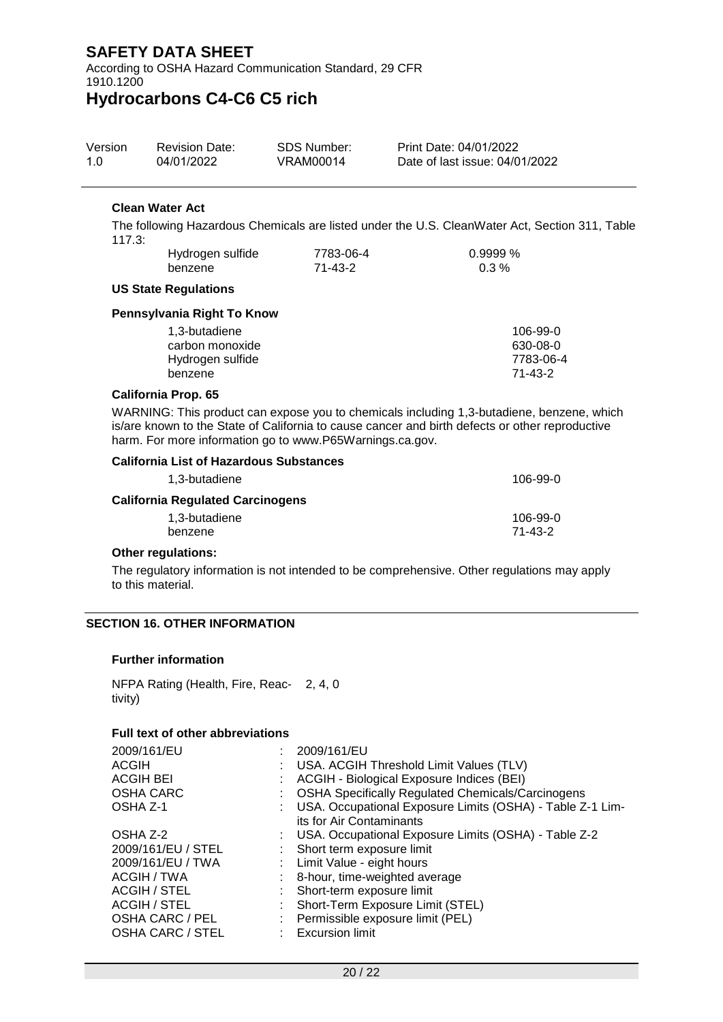According to OSHA Hazard Communication Standard, 29 CFR 1910.1200

### **Hydrocarbons C4-C6 C5 rich**

| Version | <b>Revision Date:</b> | SDS Number: | Print Date: 04/01/2022         |
|---------|-----------------------|-------------|--------------------------------|
| 1.0     | 04/01/2022            | VRAM00014   | Date of last issue: 04/01/2022 |

#### **Clean Water Act**

The following Hazardous Chemicals are listed under the U.S. CleanWater Act, Section 311, Table 117.3:

| Hydrogen sulfide | 7783-06-4 | 0.9999 % |
|------------------|-----------|----------|
| benzene          | 71-43-2   | $0.3\%$  |

#### **US State Regulations**

#### **Pennsylvania Right To Know**

| 1.3-butadiene    | 106-99-0  |
|------------------|-----------|
| carbon monoxide  | 630-08-0  |
| Hydrogen sulfide | 7783-06-4 |
| benzene          | 71-43-2   |
|                  |           |

#### **California Prop. 65**

WARNING: This product can expose you to chemicals including 1,3-butadiene, benzene, which is/are known to the State of California to cause cancer and birth defects or other reproductive harm. For more information go to www.P65Warnings.ca.gov.

| <b>California List of Hazardous Substances</b> |          |
|------------------------------------------------|----------|
| 1.3-butadiene                                  | 106-99-0 |
| <b>California Regulated Carcinogens</b>        |          |
| 1.3-butadiene                                  | 106-99-0 |
| benzene                                        | 71-43-2  |
|                                                |          |

#### **Other regulations:**

The regulatory information is not intended to be comprehensive. Other regulations may apply to this material.

#### **SECTION 16. OTHER INFORMATION**

#### **Further information**

NFPA Rating (Health, Fire, Reac-2, 4, 0 tivity)

#### **Full text of other abbreviations**

| 2009/161/EU        | 2009/161/EU                                                 |
|--------------------|-------------------------------------------------------------|
| <b>ACGIH</b>       | : USA. ACGIH Threshold Limit Values (TLV)                   |
| <b>ACGIH BEI</b>   | ACGIH - Biological Exposure Indices (BEI)                   |
| <b>OSHA CARC</b>   | : OSHA Specifically Regulated Chemicals/Carcinogens         |
| OSHA Z-1           | : USA. Occupational Exposure Limits (OSHA) - Table Z-1 Lim- |
|                    | its for Air Contaminants                                    |
| OSHA Z-2           | : USA. Occupational Exposure Limits (OSHA) - Table Z-2      |
| 2009/161/EU / STEL | : Short term exposure limit                                 |
| 2009/161/EU / TWA  | : Limit Value - eight hours                                 |
| ACGIH / TWA        | : 8-hour, time-weighted average                             |
| ACGIH / STEL       | : Short-term exposure limit                                 |
| ACGIH / STEL       | Short-Term Exposure Limit (STEL)                            |
| OSHA CARC / PEL    | : Permissible exposure limit (PEL)                          |
| OSHA CARC / STEL   | $:$ Excursion limit                                         |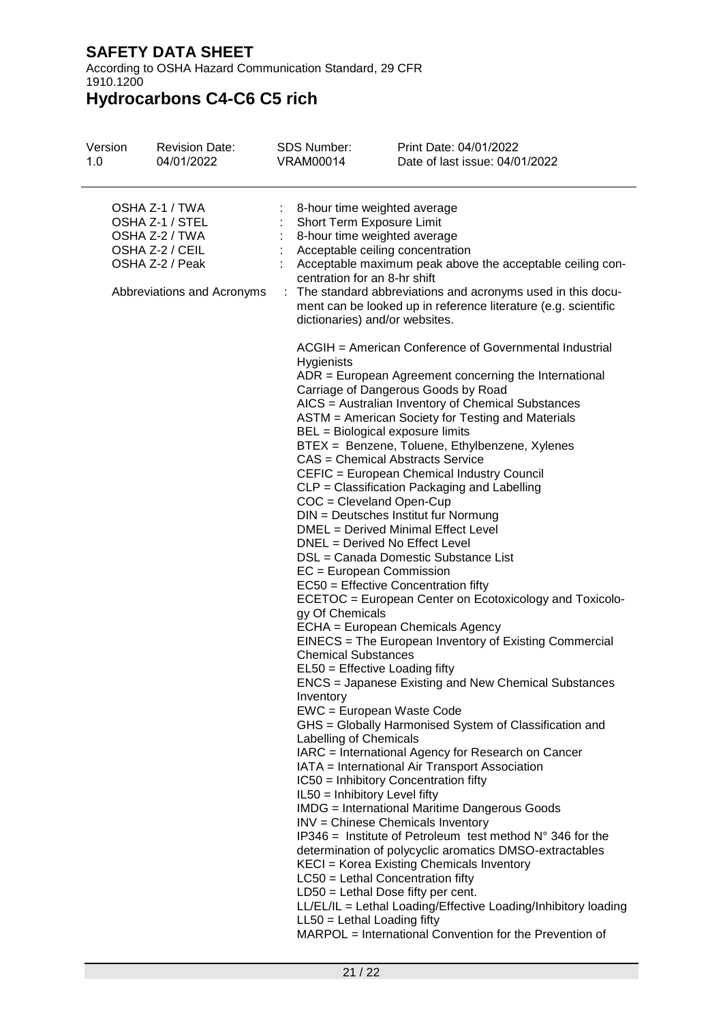According to OSHA Hazard Communication Standard, 29 CFR 1910.1200

# **Hydrocarbons C4-C6 C5 rich**

| Version<br>1.0 | <b>Revision Date:</b><br>04/01/2022                                                                                     | <b>SDS Number:</b><br><b>VRAM00014</b>                                                                                                                                                                                                                                                                                                                                  | Print Date: 04/01/2022<br>Date of last issue: 04/01/2022                                                                                                                                                                                                                                                                                                                                                                                                                                                                                                                                                                                                                                                                                                                                                                                                                                                                                                                                                                                                                                                                                                                                                                                                                                                                                                                                                                                                                                                                                       |  |
|----------------|-------------------------------------------------------------------------------------------------------------------------|-------------------------------------------------------------------------------------------------------------------------------------------------------------------------------------------------------------------------------------------------------------------------------------------------------------------------------------------------------------------------|------------------------------------------------------------------------------------------------------------------------------------------------------------------------------------------------------------------------------------------------------------------------------------------------------------------------------------------------------------------------------------------------------------------------------------------------------------------------------------------------------------------------------------------------------------------------------------------------------------------------------------------------------------------------------------------------------------------------------------------------------------------------------------------------------------------------------------------------------------------------------------------------------------------------------------------------------------------------------------------------------------------------------------------------------------------------------------------------------------------------------------------------------------------------------------------------------------------------------------------------------------------------------------------------------------------------------------------------------------------------------------------------------------------------------------------------------------------------------------------------------------------------------------------------|--|
|                | OSHA Z-1 / TWA<br>OSHA Z-1 / STEL<br>OSHA Z-2 / TWA<br>OSHA Z-2 / CEIL<br>OSHA Z-2 / Peak<br>Abbreviations and Acronyms |                                                                                                                                                                                                                                                                                                                                                                         | 8-hour time weighted average<br>Short Term Exposure Limit<br>8-hour time weighted average<br>Acceptable ceiling concentration<br>Acceptable maximum peak above the acceptable ceiling con-<br>centration for an 8-hr shift<br>The standard abbreviations and acronyms used in this docu-<br>ment can be looked up in reference literature (e.g. scientific<br>dictionaries) and/or websites.                                                                                                                                                                                                                                                                                                                                                                                                                                                                                                                                                                                                                                                                                                                                                                                                                                                                                                                                                                                                                                                                                                                                                   |  |
|                |                                                                                                                         | Hygienists<br>BEL = Biological exposure limits<br>$COC = C$ leveland Open-Cup<br>DNEL = Derived No Effect Level<br>EC = European Commission<br>gy Of Chemicals<br><b>Chemical Substances</b><br>$E L50 =$ Effective Loading fifty<br>Inventory<br>EWC = European Waste Code<br>Labelling of Chemicals<br>IL50 = Inhibitory Level fifty<br>$LL50 = Lethal$ Loading fifty | ACGIH = American Conference of Governmental Industrial<br>ADR = European Agreement concerning the International<br>Carriage of Dangerous Goods by Road<br>AICS = Australian Inventory of Chemical Substances<br>ASTM = American Society for Testing and Materials<br>BTEX = Benzene, Toluene, Ethylbenzene, Xylenes<br>CAS = Chemical Abstracts Service<br>CEFIC = European Chemical Industry Council<br>CLP = Classification Packaging and Labelling<br>DIN = Deutsches Institut fur Normung<br>DMEL = Derived Minimal Effect Level<br>DSL = Canada Domestic Substance List<br>EC50 = Effective Concentration fifty<br>ECETOC = European Center on Ecotoxicology and Toxicolo-<br>ECHA = European Chemicals Agency<br>EINECS = The European Inventory of Existing Commercial<br><b>ENCS</b> = Japanese Existing and New Chemical Substances<br>GHS = Globally Harmonised System of Classification and<br>IARC = International Agency for Research on Cancer<br>IATA = International Air Transport Association<br>IC50 = Inhibitory Concentration fifty<br><b>IMDG</b> = International Maritime Dangerous Goods<br>INV = Chinese Chemicals Inventory<br>$IP346$ = Institute of Petroleum test method $N^{\circ}$ 346 for the<br>determination of polycyclic aromatics DMSO-extractables<br>KECI = Korea Existing Chemicals Inventory<br>LC50 = Lethal Concentration fifty<br>$LD50 = Lethal Does fifty per cent.$<br>LL/EL/IL = Lethal Loading/Effective Loading/Inhibitory loading<br>MARPOL = International Convention for the Prevention of |  |